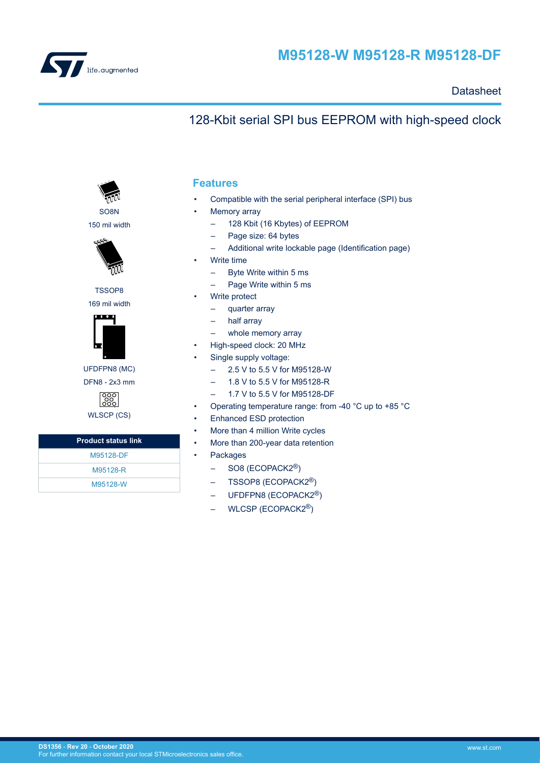

### **Datasheet**

## 128-Kbit serial SPI bus EEPROM with high-speed clock



SO8N 150 mil width



TSSOP8 169 mil width



UFDFPN8 (MC)

DFN8 - 2x3 mm



| <b>Product status link</b> |
|----------------------------|
| M95128-DF                  |
| M95128-R                   |
| M95128-W                   |

### **Features**

- Compatible with the serial peripheral interface (SPI) bus
- Memory array
	- 128 Kbit (16 Kbytes) of EEPROM
	- Page size: 64 bytes
	- Additional write lockable page (Identification page)
- Write time
	- Byte Write within 5 ms
	- Page Write within 5 ms
- Write protect
	- quarter array
	- half array
	- whole memory array
	- High-speed clock: 20 MHz
- Single supply voltage:
	- 2.5 V to 5.5 V for M95128-W
	- 1.8 V to 5.5 V for M95128-R
	- 1.7 V to 5.5 V for M95128-DF
- Operating temperature range: from -40 °C up to +85 °C
- Enhanced ESD protection
- More than 4 million Write cycles
- More than 200-year data retention
- Packages
	- SO8 (ECOPACK2®)
	- TSSOP8 (ECOPACK2®)
	- UFDFPN8 (ECOPACK2®)
	- WLCSP (ECOPACK2®)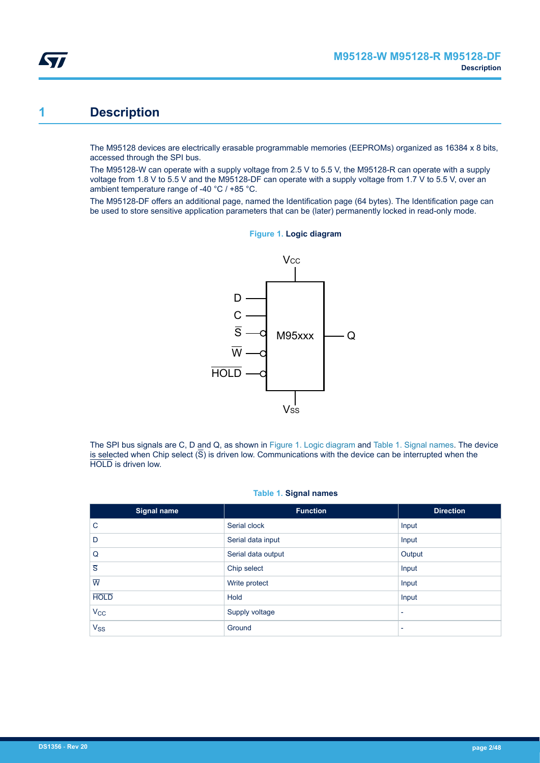<span id="page-1-0"></span>

## **1 Description**

The M95128 devices are electrically erasable programmable memories (EEPROMs) organized as 16384 x 8 bits, accessed through the SPI bus.

The M95128-W can operate with a supply voltage from 2.5 V to 5.5 V, the M95128-R can operate with a supply voltage from 1.8 V to 5.5 V and the M95128-DF can operate with a supply voltage from 1.7 V to 5.5 V, over an ambient temperature range of -40 °C / +85 °C.

The M95128-DF offers an additional page, named the Identification page (64 bytes). The Identification page can be used to store sensitive application parameters that can be (later) permanently locked in read-only mode.



#### **Figure 1. Logic diagram**

The SPI bus signals are C, D and Q, as shown in Figure 1. Logic diagram and Table 1. Signal names. The device is selected when Chip select  $(\overline{S})$  is driven low. Communications with the device can be interrupted when the HOLD is driven low.

#### **Table 1. Signal names**

| <b>Signal name</b>      | <b>Function</b>    | <b>Direction</b>         |
|-------------------------|--------------------|--------------------------|
| C                       | Serial clock       | Input                    |
| D                       | Serial data input  | Input                    |
| Q                       | Serial data output | Output                   |
| $\overline{\mathsf{S}}$ | Chip select        | Input                    |
| $\overline{\mathsf{W}}$ | Write protect      | Input                    |
| <b>HOLD</b>             | Hold               | Input                    |
| $V_{CC}$                | Supply voltage     | $\overline{\phantom{a}}$ |
| <b>V<sub>SS</sub></b>   | Ground             | ٠                        |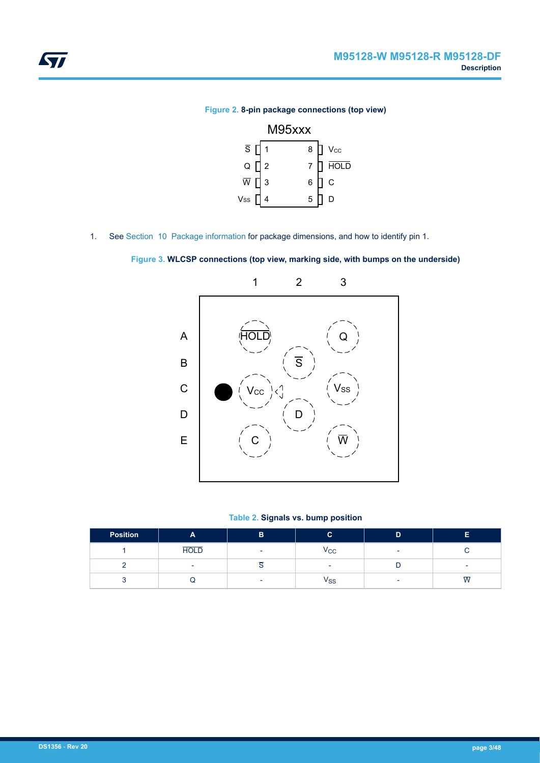### <span id="page-2-0"></span>**Figure 2. 8-pin package connections (top view)**

|                                                                                                                  |  | M95xxx         |                      |
|------------------------------------------------------------------------------------------------------------------|--|----------------|----------------------|
| $\begin{array}{c}\n\overline{\mathbf{S}} \\ \mathbf{Q} \\ \hline\n\mathbf{Q} \\ \hline\n\mathbf{W}\n\end{array}$ |  |                | $8 \bigcup V_{CC}$   |
|                                                                                                                  |  | $\overline{7}$ | $\not\parallel$ HOLD |
|                                                                                                                  |  | 6              | hс                   |
| $V_{SS}$ $\overrightarrow{\parallel}$ 4                                                                          |  | 5              | -<br>ס ן             |

1. See [Section 10 Package information](#page-32-0) for package dimensions, and how to identify pin 1.

### **Figure 3. WLCSP connections (top view, marking side, with bumps on the underside)**



**Table 2. Signals vs. bump position**

| <b>Position</b> | A                        | B                        | C               | D                        |                         |
|-----------------|--------------------------|--------------------------|-----------------|--------------------------|-------------------------|
|                 | <b>HOLD</b>              |                          | $V_{\rm CC}$    |                          |                         |
|                 | $\overline{\phantom{0}}$ |                          | -               |                          |                         |
|                 |                          | $\overline{\phantom{0}}$ | V <sub>SS</sub> | $\overline{\phantom{0}}$ | $\overline{\mathsf{W}}$ |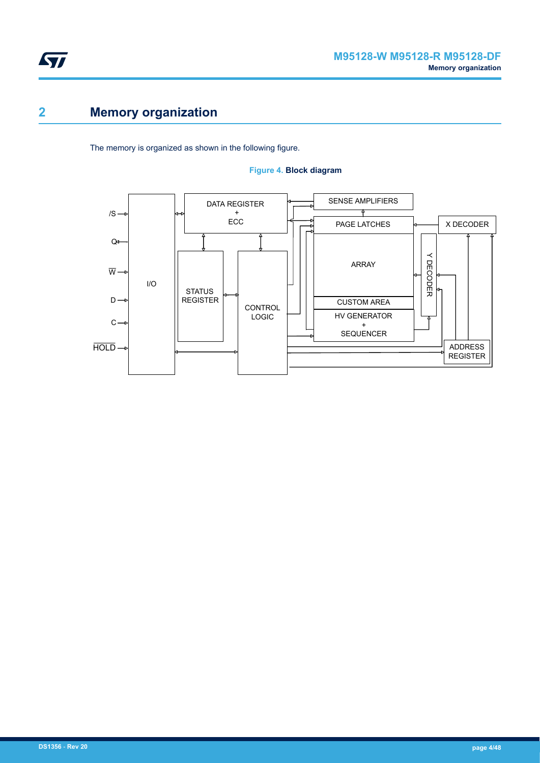<span id="page-3-0"></span>

## **2 Memory organization**

The memory is organized as shown in the following figure.



### **Figure 4. Block diagram**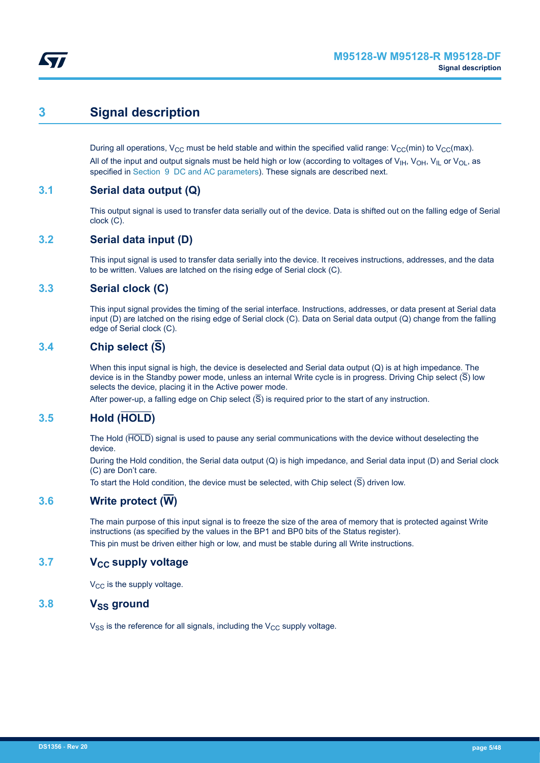<span id="page-4-0"></span>

## **3 Signal description**

During all operations,  $V_{CC}$  must be held stable and within the specified valid range:  $V_{CC}$ (min) to  $V_{CC}$ (max). All of the input and output signals must be held high or low (according to voltages of  $V_{IH}$ ,  $V_{OH}$ ,  $V_{IL}$  or  $V_{OL}$ , as specified in [Section 9 DC and AC parameters](#page-24-0)). These signals are described next.

### **3.1 Serial data output (Q)**

This output signal is used to transfer data serially out of the device. Data is shifted out on the falling edge of Serial clock (C).

### **3.2 Serial data input (D)**

This input signal is used to transfer data serially into the device. It receives instructions, addresses, and the data to be written. Values are latched on the rising edge of Serial clock (C).

### **3.3 Serial clock (C)**

This input signal provides the timing of the serial interface. Instructions, addresses, or data present at Serial data input (D) are latched on the rising edge of Serial clock (C). Data on Serial data output (Q) change from the falling edge of Serial clock (C).

### **3.4 Chip select (S)**

When this input signal is high, the device is deselected and Serial data output (Q) is at high impedance. The device is in the Standby power mode, unless an internal Write cycle is in progress. Driving Chip select (S) low selects the device, placing it in the Active power mode.

After power-up, a falling edge on Chip select  $(\overline{S})$  is required prior to the start of any instruction.

### **3.5 Hold (HOLD)**

The Hold (HOLD) signal is used to pause any serial communications with the device without deselecting the device.

During the Hold condition, the Serial data output (Q) is high impedance, and Serial data input (D) and Serial clock (C) are Don't care.

To start the Hold condition, the device must be selected, with Chip select  $(\overline{S})$  driven low.

### **3.6 Write protect (W)**

The main purpose of this input signal is to freeze the size of the area of memory that is protected against Write instructions (as specified by the values in the BP1 and BP0 bits of the Status register). This pin must be driven either high or low, and must be stable during all Write instructions.

### **3.7 V**<sub>CC</sub> supply voltage

 $V_{CC}$  is the supply voltage.

### **3.8 VSS ground**

 $V_{SS}$  is the reference for all signals, including the  $V_{CC}$  supply voltage.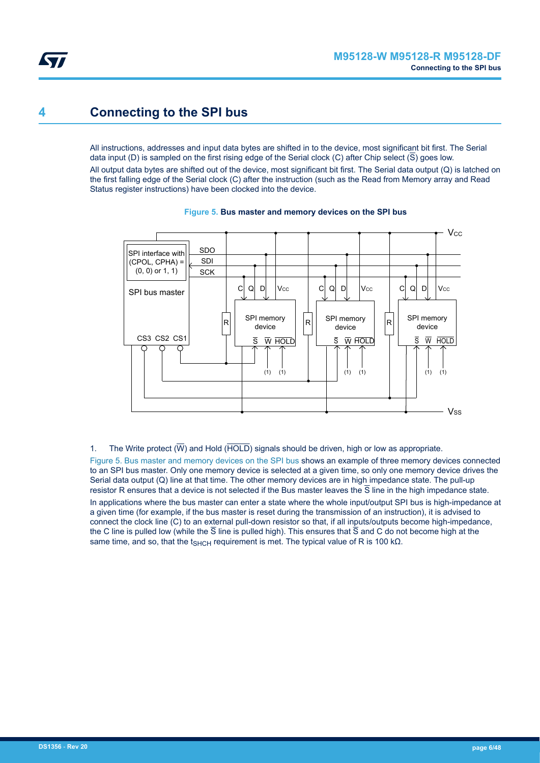<span id="page-5-0"></span>W

## **4 Connecting to the SPI bus**

All instructions, addresses and input data bytes are shifted in to the device, most significant bit first. The Serial data input (D) is sampled on the first rising edge of the Serial clock (C) after Chip select  $(\overline{S})$  goes low.

All output data bytes are shifted out of the device, most significant bit first. The Serial data output (Q) is latched on the first falling edge of the Serial clock (C) after the instruction (such as the Read from Memory array and Read Status register instructions) have been clocked into the device.



#### **Figure 5. Bus master and memory devices on the SPI bus**

1. The Write protect  $\overline{W}$  and Hold ( $\overline{HOLD}$ ) signals should be driven, high or low as appropriate.

Figure 5. Bus master and memory devices on the SPI bus shows an example of three memory devices connected to an SPI bus master. Only one memory device is selected at a given time, so only one memory device drives the Serial data output (Q) line at that time. The other memory devices are in high impedance state. The pull-up resistor R ensures that a device is not selected if the Bus master leaves the  $\overline{S}$  line in the high impedance state. In applications where the bus master can enter a state where the whole input/output SPI bus is high-impedance at a given time (for example, if the bus master is reset during the transmission of an instruction), it is advised to connect the clock line (C) to an external pull-down resistor so that, if all inputs/outputs become high-impedance, the C line is pulled low (while the  $\overline{S}$  line is pulled high). This ensures that  $\overline{S}$  and C do not become high at the same time, and so, that the t<sub>SHCH</sub> requirement is met. The typical value of R is 100 kΩ.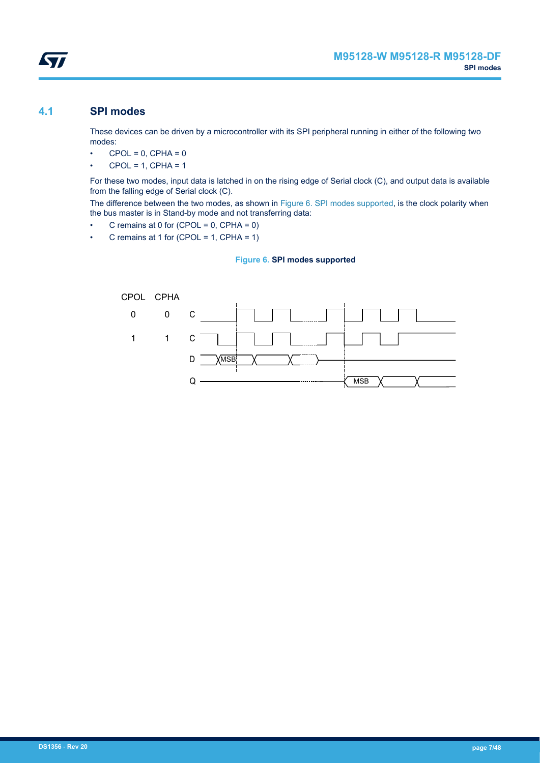### <span id="page-6-0"></span>**4.1 SPI modes**

These devices can be driven by a microcontroller with its SPI peripheral running in either of the following two modes:

- $\cdot$  CPOL = 0, CPHA = 0
- $CPOL = 1$ ,  $CPHA = 1$

For these two modes, input data is latched in on the rising edge of Serial clock (C), and output data is available from the falling edge of Serial clock (C).

The difference between the two modes, as shown in Figure 6. SPI modes supported, is the clock polarity when the bus master is in Stand-by mode and not transferring data:

- C remains at 0 for  $(CPOL = 0, CPHA = 0)$
- C remains at 1 for (CPOL =  $1$ , CPHA =  $1$ )

#### **Figure 6. SPI modes supported**

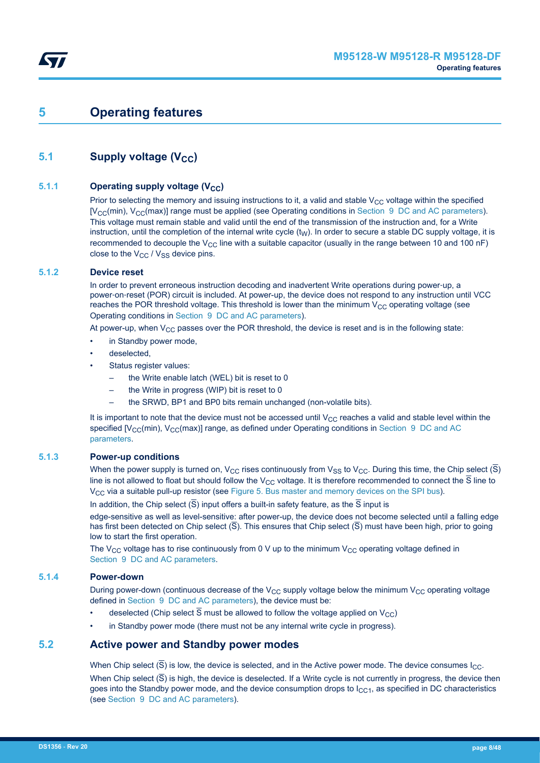## <span id="page-7-0"></span>**5 Operating features**

### **5.1 Supply voltage (V<sub>CC</sub>)**

### **5.1.1 Operating supply voltage (V<sub>CC</sub>)**

Prior to selecting the memory and issuing instructions to it, a valid and stable  $V_{CC}$  voltage within the specified  $[V<sub>CC</sub>(min), V<sub>CC</sub>(max)]$  range must be applied (see Operating conditions in [Section 9 DC and AC parameters\)](#page-24-0). This voltage must remain stable and valid until the end of the transmission of the instruction and, for a Write instruction, until the completion of the internal write cycle  $(t_W)$ . In order to secure a stable DC supply voltage, it is recommended to decouple the  $V_{CC}$  line with a suitable capacitor (usually in the range between 10 and 100 nF) close to the  $V_{CC}$  /  $V_{SS}$  device pins.

#### **5.1.2 Device reset**

In order to prevent erroneous instruction decoding and inadvertent Write operations during power‑up, a power‑on‑reset (POR) circuit is included. At power-up, the device does not respond to any instruction until VCC reaches the POR threshold voltage. This threshold is lower than the minimum  $V_{CC}$  operating voltage (see Operating conditions in [Section 9 DC and AC parameters](#page-24-0)).

At power-up, when  $V_{CC}$  passes over the POR threshold, the device is reset and is in the following state:

- in Standby power mode.
- deselected.
- Status register values:
	- the Write enable latch (WEL) bit is reset to 0
	- the Write in progress (WIP) bit is reset to 0
	- the SRWD, BP1 and BP0 bits remain unchanged (non-volatile bits).

It is important to note that the device must not be accessed until  $V_{CC}$  reaches a valid and stable level within the specified  $[V_{CC}(min), V_{CC}(max)]$  range, as defined under Operating conditions in [Section 9 DC and AC](#page-24-0) [parameters.](#page-24-0)

#### **5.1.3 Power-up conditions**

When the power supply is turned on, V<sub>CC</sub> rises continuously from V<sub>SS</sub> to V<sub>CC</sub>. During this time, the Chip select ( $\overline{S}$ ) line is not allowed to float but should follow the V<sub>CC</sub> voltage. It is therefore recommended to connect the  $\overline{S}$  line to  $V_{CC}$  via a suitable pull-up resistor (see [Figure 5. Bus master and memory devices on the SPI bus](#page-5-0)).

In addition, the Chip select  $(\overline{S})$  input offers a built-in safety feature, as the  $\overline{S}$  input is

edge-sensitive as well as level-sensitive: after power-up, the device does not become selected until a falling edge has first been detected on Chip select  $(\overline{S})$ . This ensures that Chip select  $(\overline{S})$  must have been high, prior to going low to start the first operation.

The V<sub>CC</sub> voltage has to rise continuously from 0 V up to the minimum V<sub>CC</sub> operating voltage defined in [Section 9 DC and AC parameters.](#page-24-0)

#### **5.1.4 Power-down**

During power-down (continuous decrease of the  $V_{CC}$  supply voltage below the minimum  $V_{CC}$  operating voltage defined in [Section 9 DC and AC parameters](#page-24-0)), the device must be:

- deselected (Chip select  $\overline{S}$  must be allowed to follow the voltage applied on  $V_{CC}$ )
- in Standby power mode (there must not be any internal write cycle in progress).

### **5.2 Active power and Standby power modes**

When Chip select ( $\overline{S}$ ) is low, the device is selected, and in the Active power mode. The device consumes  $I_{\text{CC}}$ .

When Chip select  $(\overline{S})$  is high, the device is deselected. If a Write cycle is not currently in progress, the device then goes into the Standby power mode, and the device consumption drops to  $I_{\rm CC1}$ , as specified in DC characteristics (see [Section 9 DC and AC parameters\)](#page-24-0).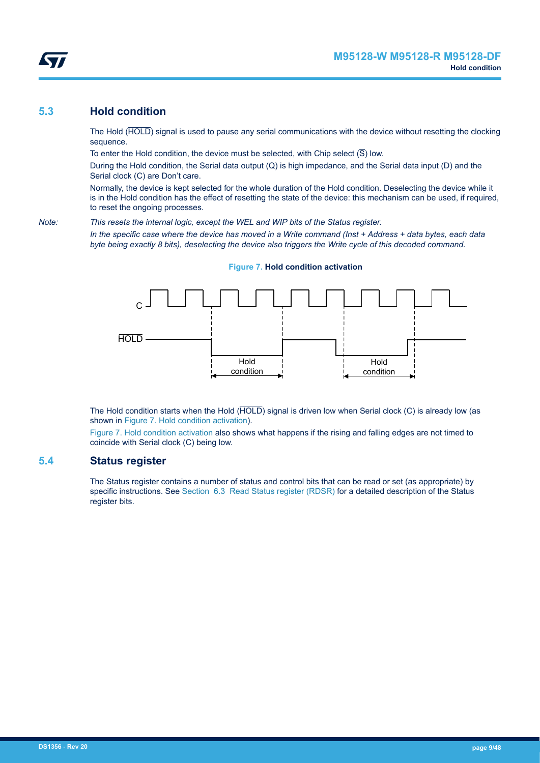### <span id="page-8-0"></span>**5.3 Hold condition**

The Hold (HOLD) signal is used to pause any serial communications with the device without resetting the clocking sequence.

To enter the Hold condition, the device must be selected, with Chip select  $(\overline{S})$  low.

During the Hold condition, the Serial data output (Q) is high impedance, and the Serial data input (D) and the Serial clock (C) are Don't care.

Normally, the device is kept selected for the whole duration of the Hold condition. Deselecting the device while it is in the Hold condition has the effect of resetting the state of the device: this mechanism can be used, if required, to reset the ongoing processes.

*Note: This resets the internal logic, except the WEL and WIP bits of the Status register.*

*In the specific case where the device has moved in a Write command (Inst + Address + data bytes, each data byte being exactly 8 bits), deselecting the device also triggers the Write cycle of this decoded command.*



#### **Figure 7. Hold condition activation**

The Hold condition starts when the Hold  $(\overline{HOLD})$  signal is driven low when Serial clock (C) is already low (as shown in Figure 7. Hold condition activation).

Figure 7. Hold condition activation also shows what happens if the rising and falling edges are not timed to coincide with Serial clock (C) being low.

### **5.4 Status register**

The Status register contains a number of status and control bits that can be read or set (as appropriate) by specific instructions. See [Section 6.3 Read Status register \(RDSR\)](#page-13-0) for a detailed description of the Status register bits.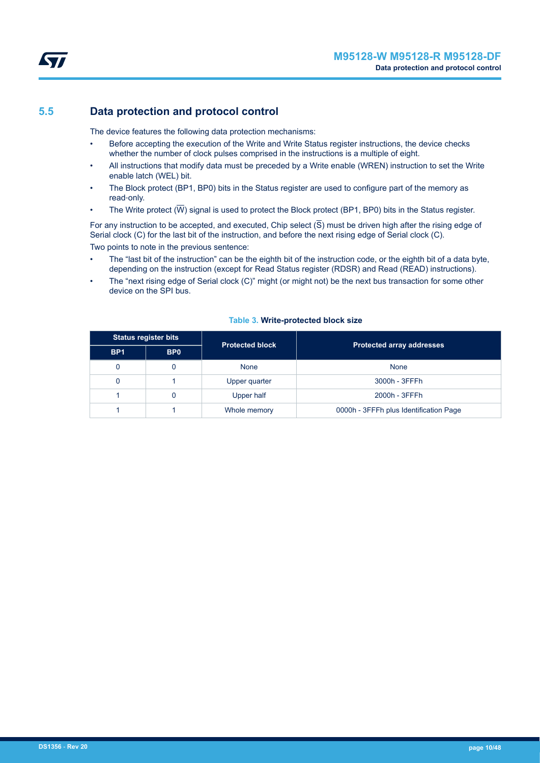### <span id="page-9-0"></span>**5.5 Data protection and protocol control**

The device features the following data protection mechanisms:

- Before accepting the execution of the Write and Write Status register instructions, the device checks whether the number of clock pulses comprised in the instructions is a multiple of eight.
- All instructions that modify data must be preceded by a Write enable (WREN) instruction to set the Write enable latch (WEL) bit.
- The Block protect (BP1, BP0) bits in the Status register are used to configure part of the memory as read‑only.
- The Write protect  $(\overline{W})$  signal is used to protect the Block protect (BP1, BP0) bits in the Status register.

For any instruction to be accepted, and executed, Chip select  $(\overline{S})$  must be driven high after the rising edge of Serial clock (C) for the last bit of the instruction, and before the next rising edge of Serial clock (C). Two points to note in the previous sentence:

- The "last bit of the instruction" can be the eighth bit of the instruction code, or the eighth bit of a data byte, depending on the instruction (except for Read Status register (RDSR) and Read (READ) instructions).
- The "next rising edge of Serial clock (C)" might (or might not) be the next bus transaction for some other device on the SPI bus.

|                 | <b>Status register bits</b> | <b>Protected block</b> | <b>Protected array addresses</b>       |  |  |  |  |
|-----------------|-----------------------------|------------------------|----------------------------------------|--|--|--|--|
| BP <sub>1</sub> | BP <sub>0</sub>             |                        |                                        |  |  |  |  |
|                 |                             | <b>None</b>            | <b>None</b>                            |  |  |  |  |
|                 |                             | Upper quarter          | 3000h - 3FFFh                          |  |  |  |  |
|                 |                             | Upper half             | 2000h - 3FFFh                          |  |  |  |  |
|                 |                             | Whole memory           | 0000h - 3FFFh plus Identification Page |  |  |  |  |

#### **Table 3. Write-protected block size**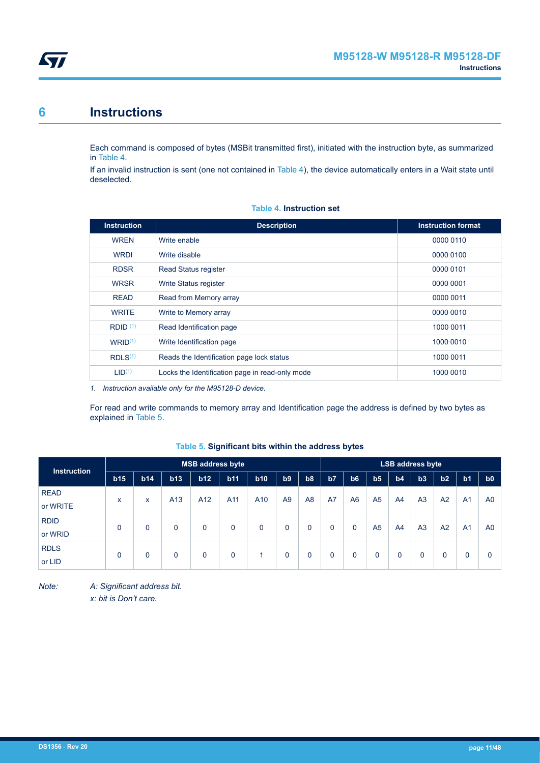<span id="page-10-0"></span>

## **6 Instructions**

Each command is composed of bytes (MSBit transmitted first), initiated with the instruction byte, as summarized in Table 4.

If an invalid instruction is sent (one not contained in Table 4), the device automatically enters in a Wait state until deselected.

#### **Table 4. Instruction set**

| <b>Instruction</b>  | <b>Description</b>                              | <b>Instruction format</b> |
|---------------------|-------------------------------------------------|---------------------------|
| <b>WREN</b>         | Write enable                                    | 0000 0110                 |
| <b>WRDI</b>         | Write disable                                   | 0000 0100                 |
| <b>RDSR</b>         | Read Status register                            | 0000 0101                 |
| <b>WRSR</b>         | Write Status register                           | 0000 0001                 |
| <b>READ</b>         | Read from Memory array                          | 0000 0011                 |
| <b>WRITE</b>        | Write to Memory array                           | 0000 0010                 |
| RDID <sup>(1)</sup> | Read Identification page                        | 1000 0011                 |
| $WRID^{(1)}$        | Write Identification page                       | 1000 0010                 |
| RDLS <sup>(1)</sup> | Reads the Identification page lock status       | 1000 0011                 |
| LID <sup>(1)</sup>  | Locks the Identification page in read-only mode | 1000 0010                 |

*1. Instruction available only for the M95128-D device.*

For read and write commands to memory array and Identification page the address is defined by two bytes as explained in Table 5.

| <b>Instruction</b> | MSB address byte |             |                 |              |             | <b>LSB</b> address byte |                |                |           |                |                |                |                |                |                |                |
|--------------------|------------------|-------------|-----------------|--------------|-------------|-------------------------|----------------|----------------|-----------|----------------|----------------|----------------|----------------|----------------|----------------|----------------|
|                    | b15              | b14         | b13             | b12          | b11         | b10                     | b9             | b8             | b7        | b <sub>6</sub> | b <sub>5</sub> | b4             | b3             | b2             | b <sub>1</sub> | b <sub>0</sub> |
| <b>READ</b>        | X                | X           | A <sub>13</sub> | A12          | A11         | A10                     | A <sub>9</sub> | A <sub>8</sub> | <b>A7</b> | A <sub>6</sub> | A <sub>5</sub> | A4             | A <sub>3</sub> | A <sub>2</sub> | A <sub>1</sub> | A <sub>0</sub> |
| or WRITE           |                  |             |                 |              |             |                         |                |                |           |                |                |                |                |                |                |                |
| <b>RDID</b>        | $\Omega$         | $\mathbf 0$ | 0               | $\mathbf{0}$ | $\mathbf 0$ | $\mathbf 0$             | 0              | $\Omega$       | 0         | $\mathbf{0}$   | A <sub>5</sub> | A <sub>4</sub> | A <sub>3</sub> | A <sub>2</sub> | A <sub>1</sub> | A <sub>0</sub> |
| or WRID            |                  |             |                 |              |             |                         |                |                |           |                |                |                |                |                |                |                |
| <b>RDLS</b>        | $\Omega$         | 0           | 0               | $\Omega$     | 0           | 4                       | 0              |                | 0         | $\mathbf{0}$   | $\mathbf 0$    | $\mathbf 0$    | 0              | $\mathbf{0}$   | $\Omega$       |                |
| or LID             |                  |             |                 |              |             |                         |                |                |           |                |                |                |                |                |                |                |

### **Table 5. Significant bits within the address bytes**

*Note: A: Significant address bit.*

*x: bit is Don't care.*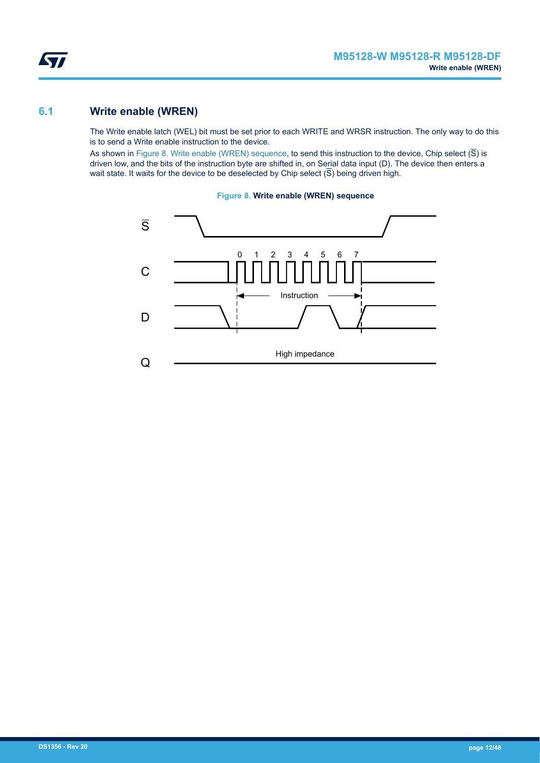### <span id="page-11-0"></span>**6.1 Write enable (WREN)**

The Write enable latch (WEL) bit must be set prior to each WRITE and WRSR instruction. The only way to do this is to send a Write enable instruction to the device.

As shown in Figure 8. Write enable (WREN) sequence, to send this instruction to the device, Chip select  $(\overline{S})$  is driven low, and the bits of the instruction byte are shifted in, on Serial data input (D). The device then enters a wait state. It waits for the device to be deselected by Chip select  $(\overline{S})$  being driven high.



### **Figure 8. Write enable (WREN) sequence**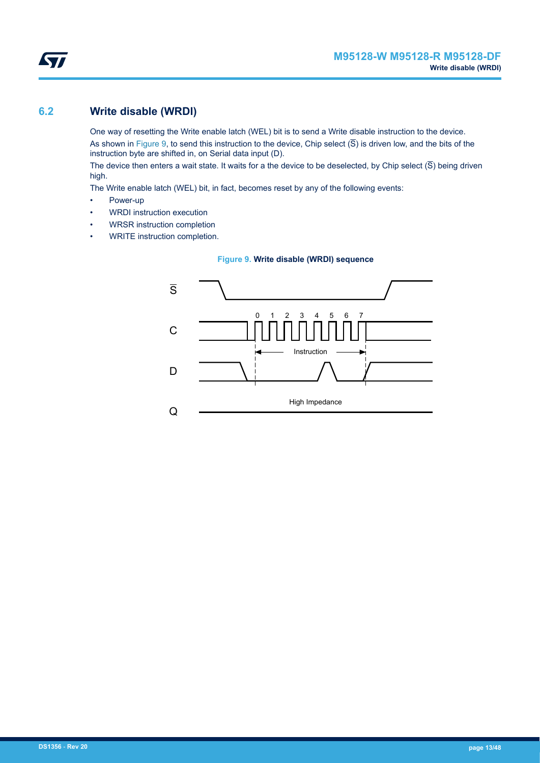### <span id="page-12-0"></span>**6.2 Write disable (WRDI)**

One way of resetting the Write enable latch (WEL) bit is to send a Write disable instruction to the device. As shown in Figure 9, to send this instruction to the device, Chip select  $(\overline{S})$  is driven low, and the bits of the instruction byte are shifted in, on Serial data input (D).

The device then enters a wait state. It waits for a the device to be deselected, by Chip select  $(\overline{S})$  being driven high.

The Write enable latch (WEL) bit, in fact, becomes reset by any of the following events:

- Power-up
- WRDI instruction execution
- WRSR instruction completion
- WRITE instruction completion.



#### **Figure 9. Write disable (WRDI) sequence**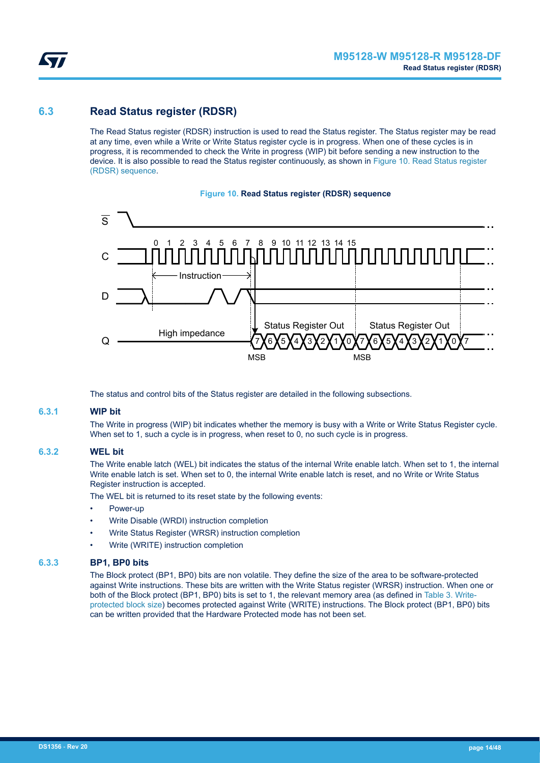### <span id="page-13-0"></span>**6.3 Read Status register (RDSR)**

The Read Status register (RDSR) instruction is used to read the Status register. The Status register may be read at any time, even while a Write or Write Status register cycle is in progress. When one of these cycles is in progress, it is recommended to check the Write in progress (WIP) bit before sending a new instruction to the device. It is also possible to read the Status register continuously, as shown in Figure 10. Read Status register (RDSR) sequence.

#### **Figure 10. Read Status register (RDSR) sequence**



The status and control bits of the Status register are detailed in the following subsections.

#### **6.3.1 WIP bit**

The Write in progress (WIP) bit indicates whether the memory is busy with a Write or Write Status Register cycle. When set to 1, such a cycle is in progress, when reset to 0, no such cycle is in progress.

#### **6.3.2 WEL bit**

The Write enable latch (WEL) bit indicates the status of the internal Write enable latch. When set to 1, the internal Write enable latch is set. When set to 0, the internal Write enable latch is reset, and no Write or Write Status Register instruction is accepted.

The WEL bit is returned to its reset state by the following events:

- Power-up
- Write Disable (WRDI) instruction completion
- Write Status Register (WRSR) instruction completion
- Write (WRITE) instruction completion

#### **6.3.3 BP1, BP0 bits**

The Block protect (BP1, BP0) bits are non volatile. They define the size of the area to be software-protected against Write instructions. These bits are written with the Write Status register (WRSR) instruction. When one or both of the Block protect (BP1, BP0) bits is set to 1, the relevant memory area (as defined in [Table 3. Write](#page-9-0)[protected block size\)](#page-9-0) becomes protected against Write (WRITE) instructions. The Block protect (BP1, BP0) bits can be written provided that the Hardware Protected mode has not been set.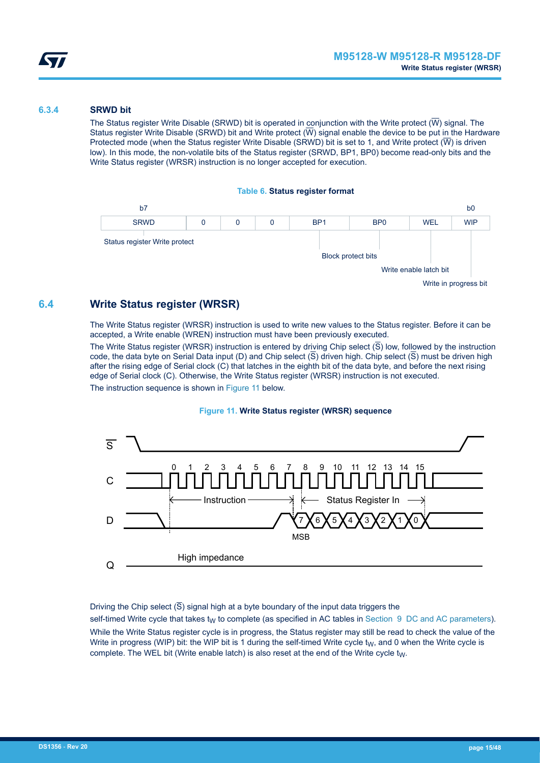#### <span id="page-14-0"></span>**6.3.4 SRWD bit**

The Status register Write Disable (SRWD) bit is operated in conjunction with the Write protect  $(\overline{W})$  signal. The Status register Write Disable (SRWD) bit and Write protect  $(\overline{W})$  signal enable the device to be put in the Hardware Protected mode (when the Status register Write Disable (SRWD) bit is set to 1, and Write protect  $(\overline{W})$  is driven low). In this mode, the non-volatile bits of the Status register (SRWD, BP1, BP0) become read-only bits and the Write Status register (WRSR) instruction is no longer accepted for execution.

#### **Table 6. Status register format**



Write in progress bit

### **6.4 Write Status register (WRSR)**

The Write Status register (WRSR) instruction is used to write new values to the Status register. Before it can be accepted, a Write enable (WREN) instruction must have been previously executed.

The Write Status register (WRSR) instruction is entered by driving Chip select  $(\overline{S})$  low, followed by the instruction code, the data byte on Serial Data input (D) and Chip select ( $\overline{S}$ ) driven high. Chip select ( $\overline{S}$ ) must be driven high after the rising edge of Serial clock (C) that latches in the eighth bit of the data byte, and before the next rising edge of Serial clock (C). Otherwise, the Write Status register (WRSR) instruction is not executed.

The instruction sequence is shown in Figure 11 below.





Driving the Chip select  $(\overline{S})$  signal high at a byte boundary of the input data triggers the

self-timed Write cycle that takes t<sub>W</sub> to complete (as specified in AC tables in [Section 9 DC and AC parameters\)](#page-24-0). While the Write Status register cycle is in progress, the Status register may still be read to check the value of the Write in progress (WIP) bit: the WIP bit is 1 during the self-timed Write cycle t<sub>W</sub>, and 0 when the Write cycle is complete. The WEL bit (Write enable latch) is also reset at the end of the Write cycle  $t_W$ .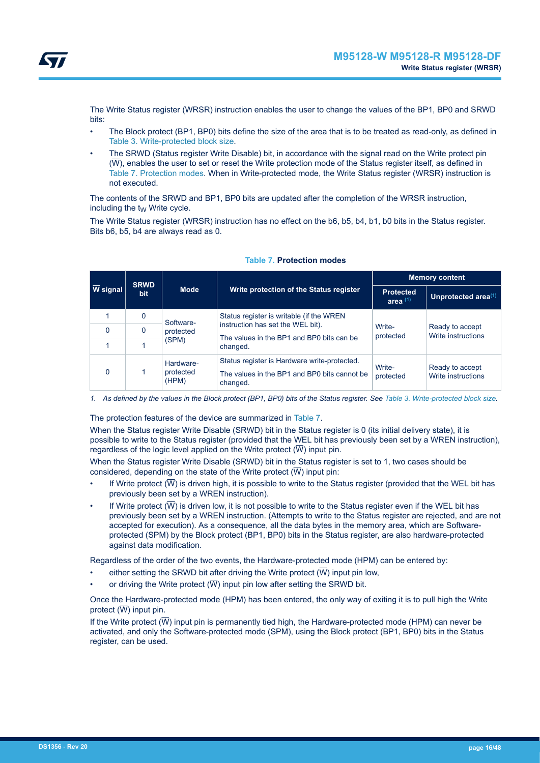<span id="page-15-0"></span>The Write Status register (WRSR) instruction enables the user to change the values of the BP1, BP0 and SRWD bits:

- The Block protect (BP1, BP0) bits define the size of the area that is to be treated as read-only, as defined in [Table 3. Write-protected block size.](#page-9-0)
- The SRWD (Status register Write Disable) bit, in accordance with the signal read on the Write protect pin  $(\overline{W})$ , enables the user to set or reset the Write protection mode of the Status register itself, as defined in Table 7. Protection modes. When in Write-protected mode, the Write Status register (WRSR) instruction is not executed.

The contents of the SRWD and BP1, BP0 bits are updated after the completion of the WRSR instruction, including the  $t_W$  Write cycle.

The Write Status register (WRSR) instruction has no effect on the b6, b5, b4, b1, b0 bits in the Status register. Bits b6, b5, b4 are always read as 0.

|          | <b>SRWD</b> | <b>Mode</b>                     |                                                                                                          | <b>Memory content</b>          |                                       |  |  |
|----------|-------------|---------------------------------|----------------------------------------------------------------------------------------------------------|--------------------------------|---------------------------------------|--|--|
| W signal | bit         |                                 | Write protection of the Status register                                                                  | <b>Protected</b><br>area $(1)$ | Unprotected area $(1)$                |  |  |
|          | 0           | Software-<br>protected          | Status register is writable (if the WREN                                                                 |                                | Ready to accept<br>Write instructions |  |  |
| $\Omega$ | 0           |                                 | instruction has set the WEL bit).<br>The values in the BP1 and BP0 bits can be                           | Write-<br>protected            |                                       |  |  |
|          |             | (SPM)                           | changed.                                                                                                 |                                |                                       |  |  |
| $\Omega$ |             | Hardware-<br>protected<br>(HPM) | Status register is Hardware write-protected.<br>The values in the BP1 and BP0 bits cannot be<br>changed. | Write-<br>protected            | Ready to accept<br>Write instructions |  |  |

#### **Table 7. Protection modes**

*1. As defined by the values in the Block protect (BP1, BP0) bits of the Status register. See [Table 3. Write-protected block size.](#page-9-0)*

The protection features of the device are summarized in Table 7.

When the Status register Write Disable (SRWD) bit in the Status register is 0 (its initial delivery state), it is possible to write to the Status register (provided that the WEL bit has previously been set by a WREN instruction), regardless of the logic level applied on the Write protect  $(\overline{W})$  input pin.

When the Status register Write Disable (SRWD) bit in the Status register is set to 1, two cases should be considered, depending on the state of the Write protect  $(\overline{W})$  input pin:

- If Write protect  $(\overline{W})$  is driven high, it is possible to write to the Status register (provided that the WEL bit has previously been set by a WREN instruction).
- If Write protect  $(\overline{W})$  is driven low, it is not possible to write to the Status register even if the WEL bit has previously been set by a WREN instruction. (Attempts to write to the Status register are rejected, and are not accepted for execution). As a consequence, all the data bytes in the memory area, which are Softwareprotected (SPM) by the Block protect (BP1, BP0) bits in the Status register, are also hardware-protected against data modification.

Regardless of the order of the two events, the Hardware-protected mode (HPM) can be entered by:

- either setting the SRWD bit after driving the Write protect  $(\overline{W})$  input pin low,
- or driving the Write protect  $(\overline{W})$  input pin low after setting the SRWD bit.

Once the Hardware-protected mode (HPM) has been entered, the only way of exiting it is to pull high the Write protect  $(\overline{W})$  input pin.

If the Write protect  $\overline{W}$ ) input pin is permanently tied high, the Hardware-protected mode (HPM) can never be activated, and only the Software-protected mode (SPM), using the Block protect (BP1, BP0) bits in the Status register, can be used.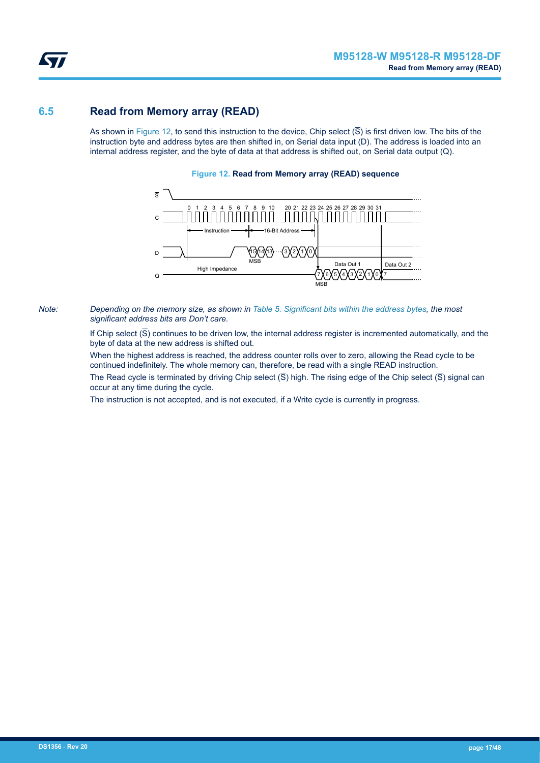### <span id="page-16-0"></span>**6.5 Read from Memory array (READ)**

As shown in Figure 12, to send this instruction to the device, Chip select  $(\overline{S})$  is first driven low. The bits of the instruction byte and address bytes are then shifted in, on Serial data input (D). The address is loaded into an internal address register, and the byte of data at that address is shifted out, on Serial data output (Q).

### **Figure 12. Read from Memory array (READ) sequence**



*Note: Depending on the memory size, as shown in [Table 5. Significant bits within the address bytes](#page-10-0), the most significant address bits are Don't care.*

> If Chip select  $(\overline{S})$  continues to be driven low, the internal address register is incremented automatically, and the byte of data at the new address is shifted out.

When the highest address is reached, the address counter rolls over to zero, allowing the Read cycle to be continued indefinitely. The whole memory can, therefore, be read with a single READ instruction.

The Read cycle is terminated by driving Chip select ( $\overline{S}$ ) high. The rising edge of the Chip select ( $\overline{S}$ ) signal can occur at any time during the cycle.

The instruction is not accepted, and is not executed, if a Write cycle is currently in progress.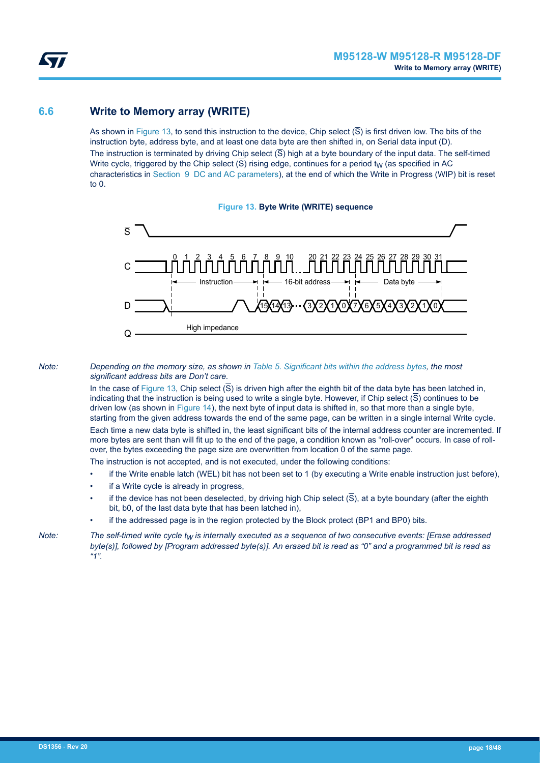### <span id="page-17-0"></span>**6.6 Write to Memory array (WRITE)**

As shown in Figure 13, to send this instruction to the device, Chip select  $(\overline{S})$  is first driven low. The bits of the instruction byte, address byte, and at least one data byte are then shifted in, on Serial data input (D). The instruction is terminated by driving Chip select  $(\overline{S})$  high at a byte boundary of the input data. The self-timed Write cycle, triggered by the Chip select  $(\overline{S})$  rising edge, continues for a period t<sub>W</sub> (as specified in AC characteristics in [Section 9 DC and AC parameters](#page-24-0)), at the end of which the Write in Progress (WIP) bit is reset to 0.





#### *Note: Depending on the memory size, as shown in [Table 5. Significant bits within the address bytes](#page-10-0), the most significant address bits are Don't care.*

In the case of Figure 13, Chip select  $(\overline{S})$  is driven high after the eighth bit of the data byte has been latched in, indicating that the instruction is being used to write a single byte. However, if Chip select  $(\overline{S})$  continues to be driven low (as shown in [Figure 14](#page-18-0)), the next byte of input data is shifted in, so that more than a single byte, starting from the given address towards the end of the same page, can be written in a single internal Write cycle. Each time a new data byte is shifted in, the least significant bits of the internal address counter are incremented. If more bytes are sent than will fit up to the end of the page, a condition known as "roll-over" occurs. In case of rollover, the bytes exceeding the page size are overwritten from location 0 of the same page.

The instruction is not accepted, and is not executed, under the following conditions:

- if the Write enable latch (WEL) bit has not been set to 1 (by executing a Write enable instruction just before),
- if a Write cycle is already in progress,
- if the device has not been deselected, by driving high Chip select  $(\overline{S})$ , at a byte boundary (after the eighth bit, b0, of the last data byte that has been latched in),
- if the addressed page is in the region protected by the Block protect (BP1 and BP0) bits.

*Note: The self-timed write cycle tW is internally executed as a sequence of two consecutive events: [Erase addressed byte(s)], followed by [Program addressed byte(s)]. An erased bit is read as "0" and a programmed bit is read as "1".*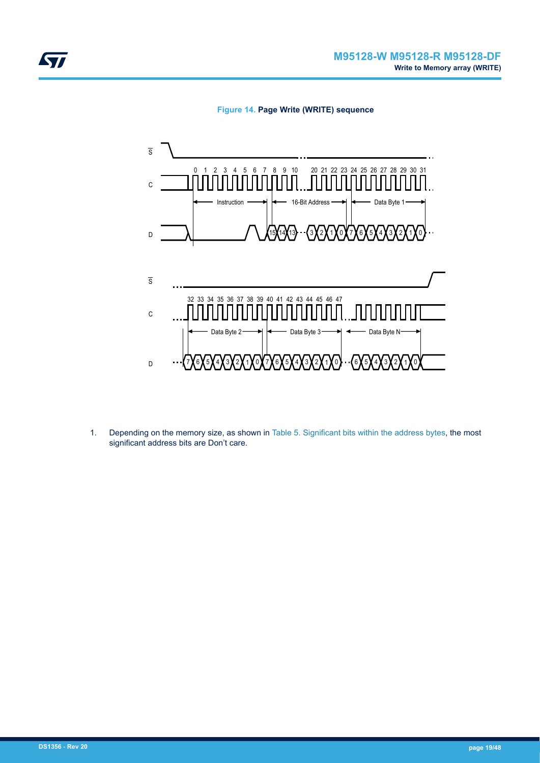

<span id="page-18-0"></span>

1. Depending on the memory size, as shown in [Table 5. Significant bits within the address bytes](#page-10-0), the most significant address bits are Don't care.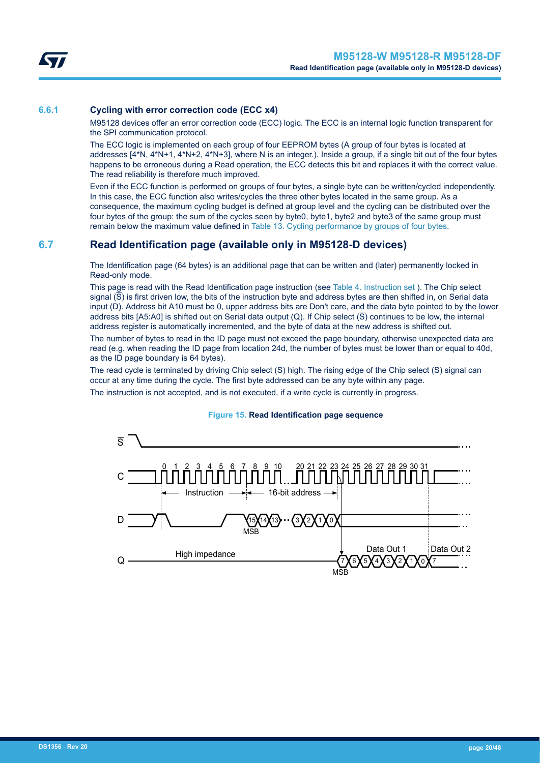<span id="page-19-0"></span>

### **6.6.1 Cycling with error correction code (ECC x4)**

M95128 devices offer an error correction code (ECC) logic. The ECC is an internal logic function transparent for the SPI communication protocol.

The ECC logic is implemented on each group of four EEPROM bytes (A group of four bytes is located at addresses [4\*N, 4\*N+1, 4\*N+2, 4\*N+3], where N is an integer.). Inside a group, if a single bit out of the four bytes happens to be erroneous during a Read operation, the ECC detects this bit and replaces it with the correct value. The read reliability is therefore much improved.

Even if the ECC function is performed on groups of four bytes, a single byte can be written/cycled independently. In this case, the ECC function also writes/cycles the three other bytes located in the same group. As a consequence, the maximum cycling budget is defined at group level and the cycling can be distributed over the four bytes of the group: the sum of the cycles seen by byte0, byte1, byte2 and byte3 of the same group must remain below the maximum value defined in [Table 13. Cycling performance by groups of four bytes.](#page-25-0)

### **6.7 Read Identification page (available only in M95128-D devices)**

The Identification page (64 bytes) is an additional page that can be written and (later) permanently locked in Read-only mode.

This page is read with the Read Identification page instruction (see [Table 4. Instruction set](#page-10-0) ). The Chip select signal  $(S)$  is first driven low, the bits of the instruction byte and address bytes are then shifted in, on Serial data input (D). Address bit A10 must be 0, upper address bits are Don't care, and the data byte pointed to by the lower address bits [A5:A0] is shifted out on Serial data output (Q). If Chip select  $(\overline{S})$  continues to be low, the internal address register is automatically incremented, and the byte of data at the new address is shifted out.

The number of bytes to read in the ID page must not exceed the page boundary, otherwise unexpected data are read (e.g. when reading the ID page from location 24d, the number of bytes must be lower than or equal to 40d, as the ID page boundary is 64 bytes).

The read cycle is terminated by driving Chip select  $(\overline{S})$  high. The rising edge of the Chip select  $(\overline{S})$  signal can occur at any time during the cycle. The first byte addressed can be any byte within any page. The instruction is not accepted, and is not executed, if a write cycle is currently in progress.

#### **Figure 15. Read Identification page sequence**

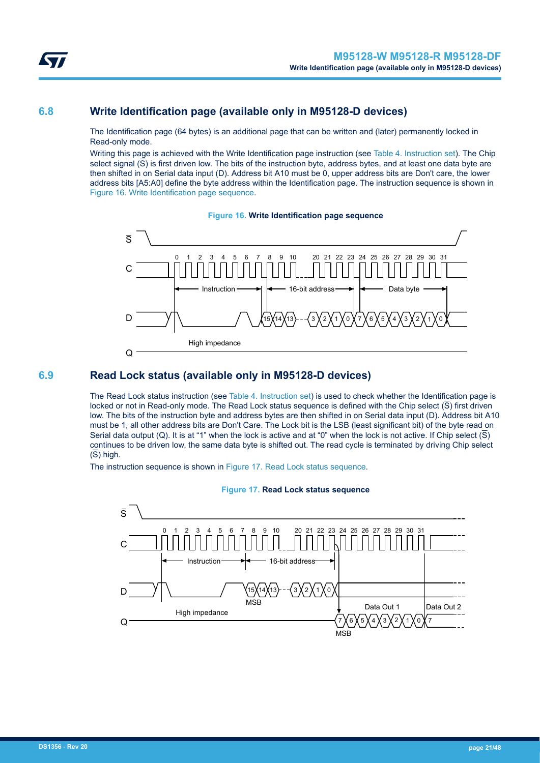<span id="page-20-0"></span>

### **6.8 Write Identification page (available only in M95128-D devices)**

The Identification page (64 bytes) is an additional page that can be written and (later) permanently locked in Read-only mode.

Writing this page is achieved with the Write Identification page instruction (see [Table 4. Instruction set](#page-10-0)). The Chip select signal  $(\overline{S})$  is first driven low. The bits of the instruction byte, address bytes, and at least one data byte are then shifted in on Serial data input (D). Address bit A10 must be 0, upper address bits are Don't care, the lower address bits [A5:A0] define the byte address within the Identification page. The instruction sequence is shown in Figure 16. Write Identification page sequence.



#### **Figure 16. Write Identification page sequence**

### **6.9 Read Lock status (available only in M95128-D devices)**

The Read Lock status instruction (see [Table 4. Instruction set\)](#page-10-0) is used to check whether the Identification page is locked or not in Read-only mode. The Read Lock status sequence is defined with the Chip select  $(\overline{S})$  first driven low. The bits of the instruction byte and address bytes are then shifted in on Serial data input (D). Address bit A10 must be 1, all other address bits are Don't Care. The Lock bit is the LSB (least significant bit) of the byte read on Serial data output (Q). It is at "1" when the lock is active and at "0" when the lock is not active. If Chip select  $(\overline{S})$ continues to be driven low, the same data byte is shifted out. The read cycle is terminated by driving Chip select  $(\overline{S})$  high.

The instruction sequence is shown in Figure 17. Read Lock status sequence.



#### **Figure 17. Read Lock status sequence**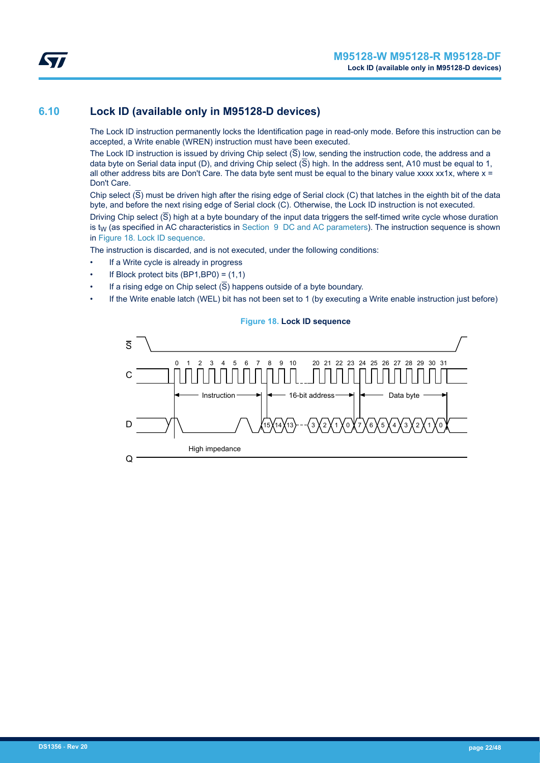

### <span id="page-21-0"></span>**6.10 Lock ID (available only in M95128-D devices)**

The Lock ID instruction permanently locks the Identification page in read-only mode. Before this instruction can be accepted, a Write enable (WREN) instruction must have been executed.

The Lock ID instruction is issued by driving Chip select  $(\overline{S})$  low, sending the instruction code, the address and a data byte on Serial data input (D), and driving Chip select  $(\overline{S})$  high. In the address sent, A10 must be equal to 1, all other address bits are Don't Care. The data byte sent must be equal to the binary value xxxx xx1x, where  $x =$ Don't Care.

Chip select  $(\overline{S})$  must be driven high after the rising edge of Serial clock  $(C)$  that latches in the eighth bit of the data byte, and before the next rising edge of Serial clock (C). Otherwise, the Lock ID instruction is not executed.

Driving Chip select  $(\overline{S})$  high at a byte boundary of the input data triggers the self-timed write cycle whose duration is  $t_W$  (as specified in AC characteristics in [Section 9 DC and AC parameters\)](#page-24-0). The instruction sequence is shown in Figure 18. Lock ID sequence.

The instruction is discarded, and is not executed, under the following conditions:

- If a Write cycle is already in progress
- If Block protect bits  $(BP1.BP0) = (1,1)$
- If a rising edge on Chip select  $(\overline{S})$  happens outside of a byte boundary.
- If the Write enable latch (WEL) bit has not been set to 1 (by executing a Write enable instruction just before)



#### **Figure 18. Lock ID sequence**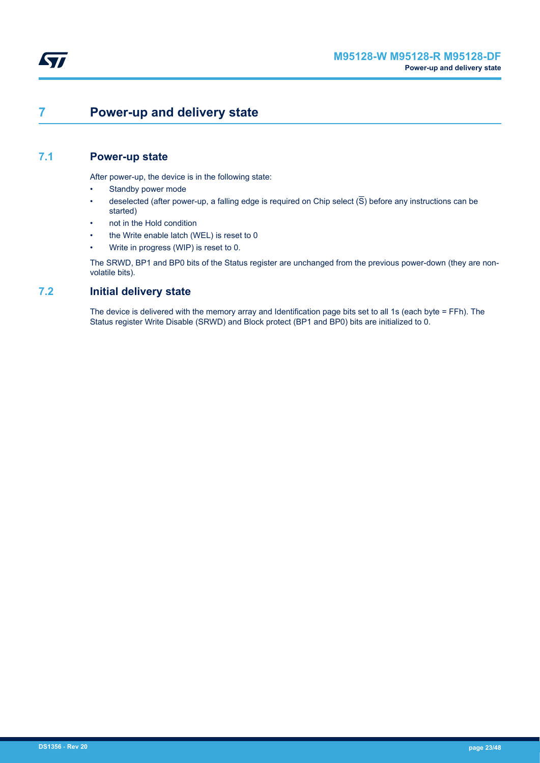

## <span id="page-22-0"></span>**7 Power-up and delivery state**

### **7.1 Power-up state**

After power-up, the device is in the following state:

- Standby power mode
- deselected (after power-up, a falling edge is required on Chip select  $(\overline{S})$  before any instructions can be started)
- not in the Hold condition
- the Write enable latch (WEL) is reset to 0
- Write in progress (WIP) is reset to 0.

The SRWD, BP1 and BP0 bits of the Status register are unchanged from the previous power-down (they are nonvolatile bits).

### **7.2 Initial delivery state**

The device is delivered with the memory array and Identification page bits set to all 1s (each byte = FFh). The Status register Write Disable (SRWD) and Block protect (BP1 and BP0) bits are initialized to 0.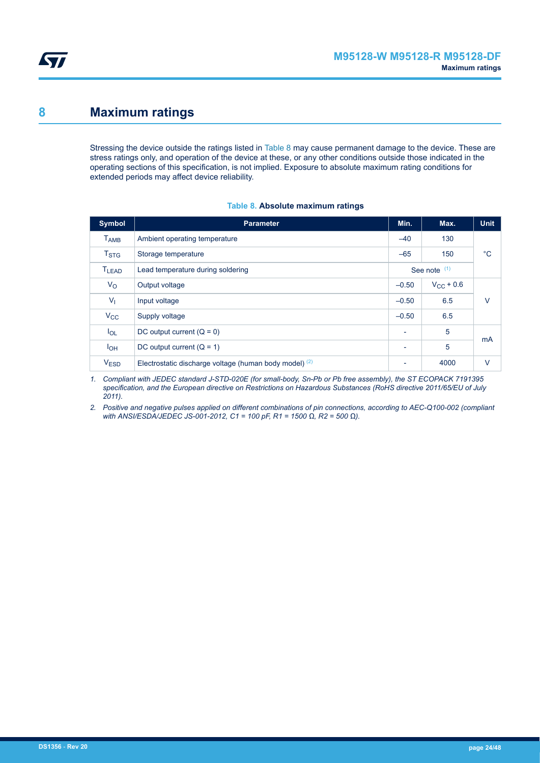<span id="page-23-0"></span>

## **8 Maximum ratings**

Stressing the device outside the ratings listed in Table 8 may cause permanent damage to the device. These are stress ratings only, and operation of the device at these, or any other conditions outside those indicated in the operating sections of this specification, is not implied. Exposure to absolute maximum rating conditions for extended periods may affect device reliability.

| Symbol            | <b>Parameter</b>                                       | Min.                     | Max.               | <b>Unit</b> |
|-------------------|--------------------------------------------------------|--------------------------|--------------------|-------------|
| <b>TAMB</b>       | Ambient operating temperature                          | $-40$                    | 130                |             |
| T <sub>STG</sub>  | Storage temperature                                    | $-65$                    | 150                | °C          |
| T <sub>LEAD</sub> | Lead temperature during soldering                      |                          | See note $(1)$     |             |
| $V_{\rm O}$       | Output voltage                                         | $-0.50$                  | $V_{\rm CC}$ + 0.6 |             |
| $V_1$             | Input voltage                                          | $-0.50$                  | 6.5                | v           |
| $V_{\rm CC}$      | Supply voltage                                         | $-0.50$                  | 6.5                |             |
| $I_{OL}$          | DC output current $(Q = 0)$                            | $\overline{\phantom{a}}$ | 5                  | mA          |
| $I_{OH}$          | DC output current $(Q = 1)$                            | $\overline{\phantom{a}}$ | 5                  |             |
| <b>VESD</b>       | Electrostatic discharge voltage (human body model) (2) | ٠                        | 4000               | $\vee$      |

#### **Table 8. Absolute maximum ratings**

*1. Compliant with JEDEC standard J-STD-020E (for small-body, Sn-Pb or Pb free assembly), the ST ECOPACK 7191395 specification, and the European directive on Restrictions on Hazardous Substances (RoHS directive 2011/65/EU of July 2011).*

*2. Positive and negative pulses applied on different combinations of pin connections, according to AEC-Q100-002 (compliant with ANSI/ESDA/JEDEC JS-001-2012, C1 = 100 pF, R1 = 1500 Ω, R2 = 500 Ω).*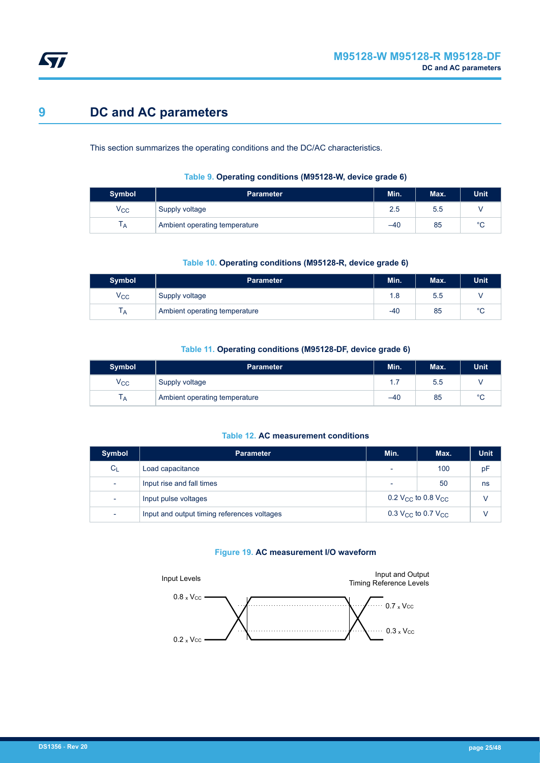<span id="page-24-0"></span>

## **9 DC and AC parameters**

This section summarizes the operating conditions and the DC/AC characteristics.

### **Table 9. Operating conditions (M95128-W, device grade 6)**

| <b>Symbol</b> | <b>Parameter</b>              | Min.  | Max. | <b>Unit</b> |
|---------------|-------------------------------|-------|------|-------------|
| $\rm v_{cc}$  | Supply voltage                | 2.5   | 5.5  |             |
| A             | Ambient operating temperature | $-40$ | 85   | $\circ$     |

### **Table 10. Operating conditions (M95128-R, device grade 6)**

| <b>Symbol</b>              | <b>Parameter</b>              | Min. | Max. | <b>Unit</b> |
|----------------------------|-------------------------------|------|------|-------------|
| $\mathsf{v}_{\mathsf{cc}}$ | Supply voltage                | 1.8  | 5.5  |             |
| A                          | Ambient operating temperature | -40  | 85   | $\circ$     |

#### **Table 11. Operating conditions (M95128-DF, device grade 6)**

| <b>Symbol</b> | <b>Parameter</b>              | <b>Min.</b> | Max. | Unit <sup>1</sup> |
|---------------|-------------------------------|-------------|------|-------------------|
| $\rm V_{CC}$  | Supply voltage                | .           | 5.5  |                   |
| ΙA.           | Ambient operating temperature | $-40$       | 85   | $\circ$           |

### **Table 12. AC measurement conditions**

| <b>Symbol</b>            | <b>Parameter</b>                            | Min.                                       | Max. | Unit |
|--------------------------|---------------------------------------------|--------------------------------------------|------|------|
| $C_{L}$                  | Load capacitance                            |                                            | 100  | pF   |
| $\overline{\phantom{a}}$ | Input rise and fall times                   | $\overline{\phantom{a}}$                   | 50   | ns   |
| ٠                        | Input pulse voltages                        | 0.2 V <sub>CC</sub> to 0.8 V <sub>CC</sub> | V    |      |
| ٠                        | Input and output timing references voltages | 0.3 V <sub>CC</sub> to 0.7 V <sub>CC</sub> |      |      |

#### **Figure 19. AC measurement I/O waveform**

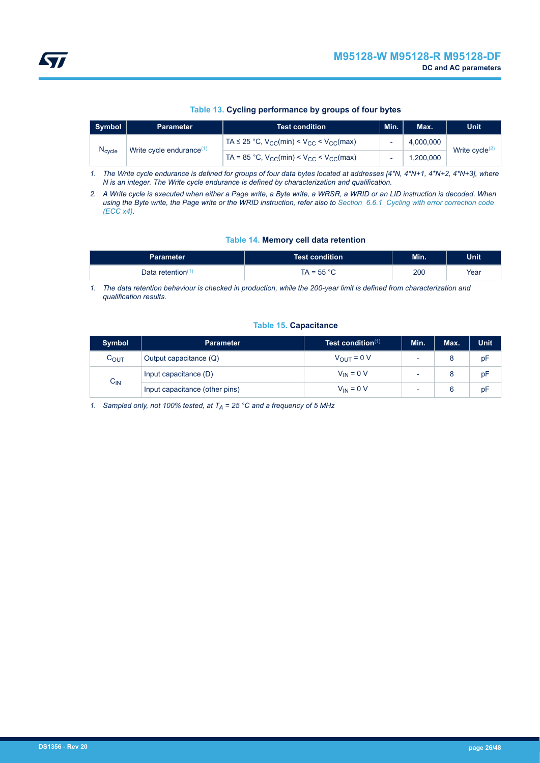|  | Table 13. Cycling performance by groups of four bytes |
|--|-------------------------------------------------------|
|--|-------------------------------------------------------|

<span id="page-25-0"></span>

| Symbol             | <b>Parameter</b>                     | Min.<br>Test condition <b>T</b>                                                            |  |           |                            |
|--------------------|--------------------------------------|--------------------------------------------------------------------------------------------|--|-----------|----------------------------|
| $N_{\text{cycle}}$ | Write cycle endurance <sup>(1)</sup> | TA $\leq$ 25 °C, V <sub>CC</sub> (min) $\leq$ V <sub>CC</sub> $\leq$ V <sub>CC</sub> (max) |  | 4.000.000 | Write cycle <sup>(2)</sup> |
|                    |                                      | TA = 85 °C, $V_{CC}(min) < V_{CC} < V_{CC}(max)$                                           |  | 1,200,000 |                            |

*1. The Write cycle endurance is defined for groups of four data bytes located at addresses [4\*N, 4\*N+1, 4\*N+2, 4\*N+3], where N is an integer. The Write cycle endurance is defined by characterization and qualification.*

*2. A Write cycle is executed when either a Page write, a Byte write, a WRSR, a WRID or an LID instruction is decoded. When using the Byte write, the Page write or the WRID instruction, refer also to [Section 6.6.1 Cycling with error correction code](#page-19-0) [\(ECC x4\)](#page-19-0).*

#### **Table 14. Memory cell data retention**

| Parameter                     | Test condition | Min. | Unit |  |
|-------------------------------|----------------|------|------|--|
| Data retention <sup>(1)</sup> | TA = 55 °C     | 200  | Year |  |

*1. The data retention behaviour is checked in production, while the 200-year limit is defined from characterization and qualification results.*

#### **Table 15. Capacitance**

| <b>Symbol</b>    | Test condition $(1)$<br><b>Parameter</b> |                        | Min.                     | Max. | <b>Unit</b> |
|------------------|------------------------------------------|------------------------|--------------------------|------|-------------|
| $C_{\text{OUT}}$ | Output capacitance (Q)                   | $V_{\text{OUT}} = 0 V$ | $\overline{\phantom{0}}$ |      | pF          |
| $C_{IN}$         | Input capacitance (D)                    | $V_{IN}$ = 0 V         | -                        |      | pF          |
|                  | Input capacitance (other pins)           | $V_{IN} = 0 V$         | -                        | 6    | pF          |

*1. Sampled only, not 100% tested, at TA = 25 °C and a frequency of 5 MHz*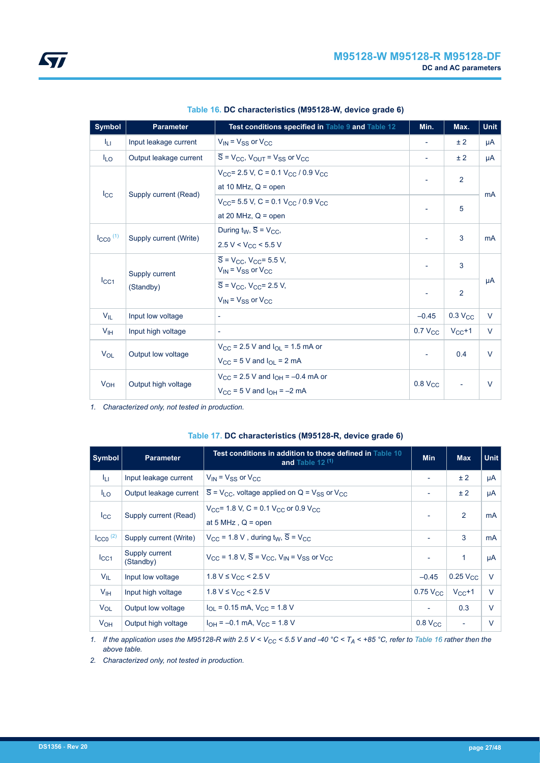### **M95128-W M95128-R M95128-DF DC and AC parameters**

<span id="page-26-0"></span>

| <b>Symbol</b>            | <b>Parameter</b>                                                                                                       | Test conditions specified in Table 9 and Table 12                                               | Min.                     | Max.                     | <b>Unit</b> |
|--------------------------|------------------------------------------------------------------------------------------------------------------------|-------------------------------------------------------------------------------------------------|--------------------------|--------------------------|-------------|
| Īц.                      | Input leakage current                                                                                                  | $V_{IN}$ = $V_{SS}$ or $V_{CC}$                                                                 | ÷.                       | ± 2                      | μA          |
| $I_{LO}$                 | Output leakage current                                                                                                 | $\overline{S}$ = V <sub>CC</sub> , V <sub>OUT</sub> = V <sub>SS</sub> or V <sub>CC</sub>        | $\overline{\phantom{0}}$ | ±2                       | μA          |
| $I_{\rm CC}$             |                                                                                                                        | $V_{\text{CC}}$ = 2.5 V, C = 0.1 $V_{\text{CC}}$ / 0.9 $V_{\text{CC}}$<br>at 10 MHz, $Q =$ open |                          | 2                        | <b>mA</b>   |
|                          | Supply current (Read)                                                                                                  | $V_{CC}$ = 5.5 V, C = 0.1 V <sub>CC</sub> / 0.9 V <sub>CC</sub><br>at 20 MHz, $Q =$ open        | ÷,                       | 5                        |             |
| $I_{CC0}$ <sup>(1)</sup> | Supply current (Write)                                                                                                 | During $t_W$ , $\overline{S} = V_{CC}$ ,<br>$2.5 V < V_{CC}$ < 5.5 V                            |                          | 3                        | <b>mA</b>   |
|                          | Supply current<br>(Standby)                                                                                            | $\overline{S}$ = V <sub>CC</sub> , V <sub>CC</sub> = 5.5 V,<br>$V_{IN}$ = $V_{SS}$ or $V_{CC}$  |                          | 3                        |             |
| $I_{CC1}$                |                                                                                                                        | $\overline{S}$ = V <sub>CC</sub> , V <sub>CC</sub> = 2.5 V,<br>$V_{IN}$ = $V_{SS}$ or $V_{CC}$  | $\overline{\phantom{0}}$ | $\overline{2}$           | μA          |
| $V_{IL}$                 | Input low voltage                                                                                                      | $\overline{\phantom{a}}$                                                                        | $-0.45$                  | $0.3$ $V_{CC}$           | $\vee$      |
| V <sub>IH</sub>          | Input high voltage                                                                                                     | $\overline{\phantom{a}}$                                                                        | $0.7 V_{CC}$             | $V_{CC}+1$               | V           |
| <b>V<sub>OL</sub></b>    | Output low voltage                                                                                                     | $V_{CC}$ = 2.5 V and $I_{OL}$ = 1.5 mA or<br>$V_{CC}$ = 5 V and $I_{OL}$ = 2 mA                 | $\blacksquare$           | 0.4                      | $\vee$      |
| $V_{OH}$                 | $V_{CC}$ = 2.5 V and $I_{OH}$ = -0.4 mA or<br>Output high voltage<br>$V_{\text{CC}}$ = 5 V and $I_{\text{OH}}$ = -2 mA |                                                                                                 | $0.8$ $V_{CC}$           | $\overline{\phantom{a}}$ | $\vee$      |

|  | Table 16. DC characteristics (M95128-W, device grade 6) |  |  |  |  |
|--|---------------------------------------------------------|--|--|--|--|
|--|---------------------------------------------------------|--|--|--|--|

*1. Characterized only, not tested in production.*

### **Table 17. DC characteristics (M95128-R, device grade 6)**

| Symbol                   | <b>Parameter</b>            | Test conditions in addition to those defined in Table 10<br>and Table $12(1)$                                    | <b>Min</b>               | <b>Max</b>               | <b>Unit</b> |
|--------------------------|-----------------------------|------------------------------------------------------------------------------------------------------------------|--------------------------|--------------------------|-------------|
| Æг                       | Input leakage current       | $V_{IN}$ = $V_{SS}$ or $V_{C}$                                                                                   | $\overline{\phantom{a}}$ | ± 2                      | μA          |
| <sup>I</sup> LO          | Output leakage current      | $\overline{S}$ = V <sub>CC</sub> , voltage applied on Q = V <sub>SS</sub> or V <sub>CC</sub>                     | ۰                        | ± 2                      | μA          |
| $_{\rm lcc}$             | Supply current (Read)       | $V_{CC}$ = 1.8 V, C = 0.1 V <sub>CC</sub> or 0.9 V <sub>CC</sub><br>at 5 MHz, $Q =$ open                         | $\overline{\phantom{a}}$ | 2                        | <b>mA</b>   |
| $I_{CC0}$ <sup>(2)</sup> | Supply current (Write)      | $V_{CC}$ = 1.8 V, during $t_{W}$ , $\overline{S}$ = $V_{CC}$                                                     | $\overline{\phantom{a}}$ | 3                        | mA          |
| $I_{CC1}$                | Supply current<br>(Standby) | $V_{\text{CC}}$ = 1.8 V, $\overline{S}$ = V <sub>CC</sub> , V <sub>IN</sub> = V <sub>SS</sub> or V <sub>CC</sub> | $\blacksquare$           | 1                        | μA          |
| $V_{\parallel}$          | Input low voltage           | 1.8 V ≤ V <sub>CC</sub> < 2.5 V                                                                                  | $-0.45$                  | $0.25$ V <sub>CC</sub>   | $\vee$      |
| V <sub>IH</sub>          | Input high voltage          | 1.8 V ≤ V <sub>CC</sub> < 2.5 V                                                                                  | $0.75$ V <sub>CC</sub>   | $V_{CC}+1$               | $\vee$      |
| $V_{OL}$                 | Output low voltage          | $I_{OL}$ = 0.15 mA, $V_{CC}$ = 1.8 V                                                                             | $\overline{\phantom{a}}$ | 0.3                      | $\vee$      |
| <b>V<sub>OH</sub></b>    | Output high voltage         | $I_{OH} = -0.1$ mA, $V_{CO} = 1.8$ V                                                                             | $0.8$ $V_{CC}$           | $\overline{\phantom{a}}$ | $\vee$      |

*1. If the application uses the M95128-R with 2.5 V < VCC < 5.5 V and -40 °C < TA < +85 °C, refer to Table 16 rather then the above table.*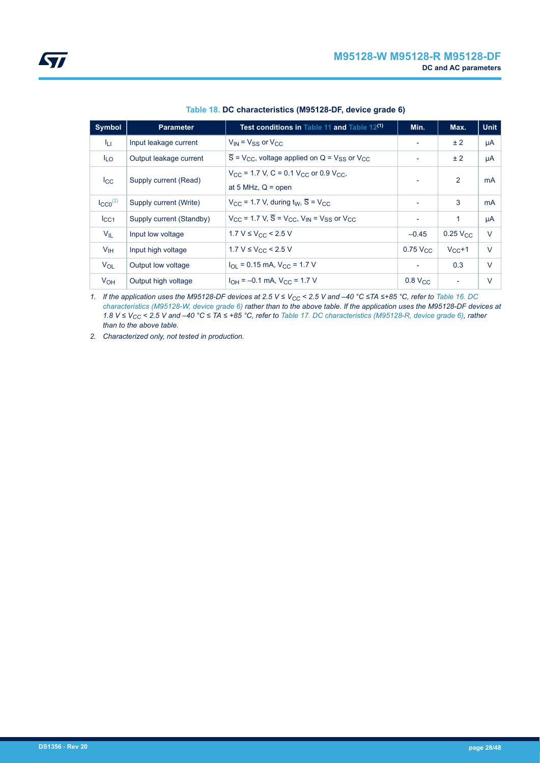<span id="page-27-0"></span>

| Symbol                | <b>Parameter</b>         | Test conditions in Table 11 and Table 12 <sup>(1)</sup>                                                   | Min.                     | Max.                     | <b>Unit</b> |
|-----------------------|--------------------------|-----------------------------------------------------------------------------------------------------------|--------------------------|--------------------------|-------------|
| ĪЦ                    | Input leakage current    | $V_{IN}$ = $V_{SS}$ or $V_{CC}$                                                                           | ۰                        | ± 2                      | μA          |
| $I_{LO}$              | Output leakage current   | $\overline{S}$ = V <sub>CC</sub> , voltage applied on Q = V <sub>SS</sub> or V <sub>CC</sub>              | -                        | ± 2                      | μA          |
| $_{\rm lcc}$          | Supply current (Read)    | $V_{CC}$ = 1.7 V, C = 0.1 V <sub>CC</sub> or 0.9 V <sub>CC</sub> ,<br>at 5 MHz, $Q =$ open                | $\overline{\phantom{a}}$ | 2                        | mA          |
| $I_{CCO}^{(2)}$       | Supply current (Write)   | $V_{\rm CC}$ = 1.7 V, during t <sub>W</sub> , $\overline{S}$ = V <sub>CC</sub>                            | $\overline{\phantom{a}}$ | 3                        | mA          |
| $I_{\rm CC1}$         | Supply current (Standby) | $V_{CC}$ = 1.7 V, $\overline{S}$ = V <sub>CC</sub> , V <sub>IN</sub> = V <sub>SS</sub> or V <sub>CC</sub> | $\overline{\phantom{a}}$ | $\mathbf{1}$             | μA          |
| $V_{\parallel}$       | Input low voltage        | $1.7 V \le V_{CC}$ < 2.5 V                                                                                | $-0.45$                  | $0.25$ V <sub>CC</sub>   | $\vee$      |
| $V_{\text{IH}}$       | Input high voltage       | $1.7 V \le V_{CC}$ < 2.5 V                                                                                | $0.75$ V <sub>CC</sub>   | $V_{CC}+1$               | $\vee$      |
| <b>V<sub>OL</sub></b> | Output low voltage       | $I_{\text{OL}}$ = 0.15 mA, $V_{\text{CC}}$ = 1.7 V                                                        | $\overline{\phantom{a}}$ | 0.3                      | $\vee$      |
| <b>V<sub>OH</sub></b> | Output high voltage      | $I_{OH} = -0.1$ mA, $V_{CO} = 1.7$ V                                                                      | $0.8$ V <sub>CC</sub>    | $\overline{\phantom{a}}$ | $\vee$      |

**Table 18. DC characteristics (M95128-DF, device grade 6)**

*1. If the application uses the M95128-DF devices at 2.5 V ≤ VCC < 2.5 V and –40 °C ≤TA ≤+85 °C, refer to [Table 16. DC](#page-26-0) [characteristics \(M95128-W, device grade 6\)](#page-26-0) rather than to the above table. If the application uses the M95128-DF devices at 1.8 V ≤ VCC < 2.5 V and –40 °C ≤ TA ≤ +85 °C, refer to [Table 17. DC characteristics \(M95128-R, device grade 6\)](#page-26-0), rather than to the above table.*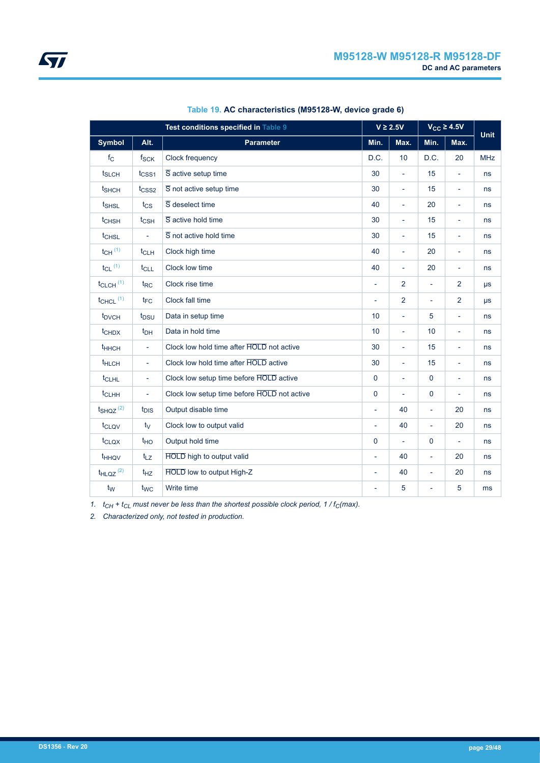<span id="page-28-0"></span>

| Test conditions specified in Table 9 |                          |                                                  | $V \geq 2.5V$ |                          | $V_{\text{CC}} \geq 4.5V$ |                          |             |
|--------------------------------------|--------------------------|--------------------------------------------------|---------------|--------------------------|---------------------------|--------------------------|-------------|
| <b>Symbol</b>                        | Alt.                     | <b>Parameter</b>                                 | Min.          | Max.                     | Min.                      | Max.                     | <b>Unit</b> |
| $f_{\rm C}$                          | $f_{SCK}$                | Clock frequency                                  | D.C.          | 10                       | D.C.                      | 20                       | <b>MHz</b>  |
| $t_{SLCH}$                           | t <sub>CSS1</sub>        | $\overline{S}$ active setup time                 | 30            | L,                       | 15                        | $\overline{\phantom{a}}$ | ns          |
| t <sub>SHCH</sub>                    | $t_{\text{CSS2}}$        | $\overline{S}$ not active setup time             | 30            | ÷,                       | 15                        | $\overline{\phantom{a}}$ | ns          |
| t <sub>SHSL</sub>                    | $t_{\text{CS}}$          | $\overline{S}$ deselect time                     | 40            | ÷,                       | 20                        | $\overline{\phantom{a}}$ | ns          |
| t <sub>CHSH</sub>                    | $t_{\text{CSH}}$         | $\overline{S}$ active hold time                  | 30            | L,                       | 15                        | $\bar{\phantom{a}}$      | ns          |
| t <sub>CHSL</sub>                    | L,                       | $\overline{S}$ not active hold time              | 30            | L,                       | 15                        | $\blacksquare$           | ns          |
| $t_{CH}$ <sup>(1)</sup>              | $t$ <sub>CLH</sub>       | Clock high time                                  | 40            | L,                       | 20                        | $\bar{\phantom{a}}$      | ns          |
| $t_{CL}$ $(1)$                       | $t_{CLL}$                | Clock low time                                   | 40            | $\overline{\phantom{0}}$ | 20                        | $\blacksquare$           | ns          |
| $t_{CLCH}$ <sup>(1)</sup>            | $t_{RC}$                 | Clock rise time                                  | ÷,            | 2                        | ÷,                        | $\overline{2}$           | μs          |
| $t_{CHCL}$ (1)                       | $t_{FC}$                 | Clock fall time                                  | L,            | $\overline{2}$           | ÷,                        | $\overline{2}$           | μs          |
| $t_{\text{DVCH}}$                    | $t_{DSU}$                | Data in setup time                               | 10            | ÷,                       | 5                         | $\overline{\phantom{a}}$ | ns          |
| $t$ CHDX                             | $t_{DH}$                 | Data in hold time                                | 10            | L,                       | 10                        | $\bar{\phantom{a}}$      | ns          |
| tннсн                                | $\equiv$                 | Clock low hold time after <b>HOLD</b> not active | 30            | L,                       | 15                        | $\blacksquare$           | ns          |
| <b>t<sub>HLCH</sub></b>              | $\blacksquare$           | Clock low hold time after HOLD active            | 30            | L,                       | 15                        | ä,                       | ns          |
| t <sub>CLHL</sub>                    | $\overline{\phantom{a}}$ | Clock low setup time before HOLD active          | $\mathbf 0$   | L,                       | $\mathbf 0$               | $\blacksquare$           | ns          |
| t <sub>CLHH</sub>                    | $\overline{\phantom{a}}$ | Clock low setup time before HOLD not active      | $\pmb{0}$     | L                        | $\mathbf 0$               | $\bar{\phantom{a}}$      | ns          |
| $t_{SHQZ}$ <sup>(2)</sup>            | t <sub>DIS</sub>         | Output disable time                              | ÷,            | 40                       | $\overline{\phantom{a}}$  | 20                       | ns          |
| t <sub>CLQV</sub>                    | $t_V$                    | Clock low to output valid                        | L,            | 40                       | ä,                        | 20                       | ns          |
| t <sub>CLQX</sub>                    | $t_{HO}$                 | Output hold time                                 | 0             | L,                       | 0                         | $\overline{\phantom{a}}$ | ns          |
| t <sub>HHQV</sub>                    | $t_{LZ}$                 | <b>HOLD</b> high to output valid                 | L,            | 40                       | ä,                        | 20                       | ns          |
| $t_{H L Q Z}$ <sup>(2)</sup>         | $t_{HZ}$                 | HOLD low to output High-Z                        | L,            | 40                       | ÷,                        | 20                       | ns          |
| t <sub>w</sub>                       | t <sub>wc</sub>          | Write time                                       | L,            | 5                        | ÷,                        | 5                        | ms          |

|  |  | Table 19. AC characteristics (M95128-W, device grade 6) |  |  |  |  |
|--|--|---------------------------------------------------------|--|--|--|--|
|--|--|---------------------------------------------------------|--|--|--|--|

*1. tCH + tCL must never be less than the shortest possible clock period, 1 / fC(max).*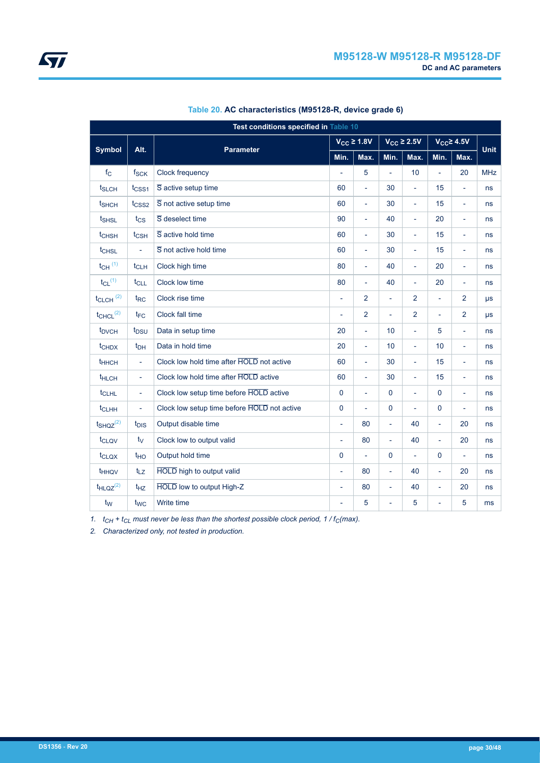<span id="page-29-0"></span>

| Test conditions specified in Table 10 |                          |                                                  |                          |                          |                          |                           |                          |                           |             |  |
|---------------------------------------|--------------------------|--------------------------------------------------|--------------------------|--------------------------|--------------------------|---------------------------|--------------------------|---------------------------|-------------|--|
| <b>Symbol</b>                         | Alt.                     | <b>Parameter</b>                                 |                          | $V_{CC} \ge 1.8V$        |                          | $V_{\text{CC}} \geq 2.5V$ |                          | $\overline{V_{CC}}$ 24.5V | <b>Unit</b> |  |
|                                       |                          |                                                  | Min.                     | Max.                     | Min.                     | Max.                      | Min.                     | Max.                      |             |  |
| $f_{\rm C}$                           | f <sub>SCK</sub>         | Clock frequency                                  | $\blacksquare$           | 5                        | L,                       | 10                        | ä,                       | 20                        | <b>MHz</b>  |  |
| t <sub>SLCH</sub>                     | t <sub>CSS1</sub>        | $\overline{S}$ active setup time                 | 60                       | ÷,                       | 30                       | ä,                        | 15                       | ÷,                        | ns          |  |
| $t_{\text{SHCH}}$                     | t <sub>CSS2</sub>        | $\overline{S}$ not active setup time             | 60                       | ÷,                       | 30                       | $\blacksquare$            | 15                       | $\overline{\phantom{a}}$  | ns          |  |
| t <sub>SHSL</sub>                     | $t_{\text{CS}}$          | $\overline{S}$ deselect time                     | 90                       | $\overline{\phantom{0}}$ | 40                       | $\blacksquare$            | 20                       | $\overline{\phantom{a}}$  | ns          |  |
| t <sub>CHSH</sub>                     | $t_{\text{CSH}}$         | $\overline{S}$ active hold time                  | 60                       | 4                        | 30                       | ÷,                        | 15                       | $\overline{\phantom{a}}$  | ns          |  |
| $t_{\text{CHSL}}$                     | L,                       | $\overline{S}$ not active hold time              | 60                       | 4                        | 30                       | ÷,                        | 15                       | $\overline{\phantom{a}}$  | ns          |  |
| $t$ CH $(1)$                          | $t$ <sub>CLH</sub>       | Clock high time                                  | 80                       | ÷,                       | 40                       | $\blacksquare$            | 20                       | $\overline{\phantom{a}}$  | ns          |  |
| $t_{CL}$ <sup>(1)</sup>               | $t_{CLL}$                | Clock low time                                   | 80                       | ÷,                       | 40                       | $\blacksquare$            | 20                       | $\overline{\phantom{a}}$  | ns          |  |
| $t_{CLCH}$ $^{(2)}$                   | $t_{RC}$                 | Clock rise time                                  | ä,                       | $\overline{2}$           | L,                       | $\overline{2}$            | ä,                       | $\overline{2}$            | $\mu s$     |  |
| $t_{CHCL}$ <sup>(2)</sup>             | $t_{FC}$                 | Clock fall time                                  | $\overline{\phantom{a}}$ | $\overline{2}$           | L,                       | $\overline{2}$            | ä,                       | $\overline{2}$            | $\mu s$     |  |
| t <sub>DVCH</sub>                     | t <sub>DSU</sub>         | Data in setup time                               | 20                       | L,                       | 10                       | L.                        | 5                        | L,                        | ns          |  |
| $t$ CHDX                              | $t_{DH}$                 | Data in hold time                                | 20                       | L,                       | 10                       | $\blacksquare$            | 10                       | L,                        | ns          |  |
| $t_{HHCH}$                            | L,                       | Clock low hold time after <b>HOLD</b> not active | 60                       | L,                       | 30                       | L,                        | 15                       | $\overline{\phantom{a}}$  | ns          |  |
| <sup>t</sup> HLCH                     | $\overline{\phantom{a}}$ | Clock low hold time after <b>HOLD</b> active     | 60                       | L,                       | 30                       | $\blacksquare$            | 15                       | $\overline{\phantom{a}}$  | ns          |  |
| t <sub>CLHL</sub>                     | ä,                       | Clock low setup time before HOLD active          | $\mathbf 0$              | L,                       | $\mathbf 0$              | L,                        | 0                        | L,                        | ns          |  |
| t <sub>CLHH</sub>                     | L,                       | Clock low setup time before HOLD not active      | $\mathbf 0$              | L                        | 0                        | L,                        | $\Omega$                 | $\overline{\phantom{a}}$  | ns          |  |
| $t_{SHQZ}^{(2)}$                      | $t_{\text{DIS}}$         | Output disable time                              |                          | 80                       | ÷,                       | 40                        | L,                       | 20                        | ns          |  |
| t <sub>CLQV</sub>                     | $t_V$                    | Clock low to output valid                        | $\overline{a}$           | 80                       | L,                       | 40                        | $\overline{\phantom{a}}$ | 20                        | ns          |  |
| $t_{\text{CLOX}}$                     | $t_{HO}$                 | Output hold time                                 | $\Omega$                 | L,                       | $\overline{0}$           | $\bar{a}$                 | $\Omega$                 | $\overline{\phantom{a}}$  | ns          |  |
| t <sub>HHQV</sub>                     | $t_{LZ}$                 | <b>HOLD</b> high to output valid                 | $\overline{a}$           | 80                       | $\overline{\phantom{0}}$ | 40                        | $\overline{\phantom{a}}$ | 20                        | ns          |  |
| $t_{HLQZ}^{(2)}$                      | $t_{HZ}$                 | HOLD low to output High-Z                        | $\overline{\phantom{a}}$ | 80                       | L,                       | 40                        | ä,                       | 20                        | ns          |  |
| t <sub>w</sub>                        | twc                      | Write time                                       | $\overline{\phantom{a}}$ | 5                        | L,                       | 5                         | L,                       | 5                         | ms          |  |

| Table 20. AC characteristics (M95128-R, device grade 6) |  |  |  |  |  |
|---------------------------------------------------------|--|--|--|--|--|
|---------------------------------------------------------|--|--|--|--|--|

*1. tCH + tCL must never be less than the shortest possible clock period, 1 / fC(max).*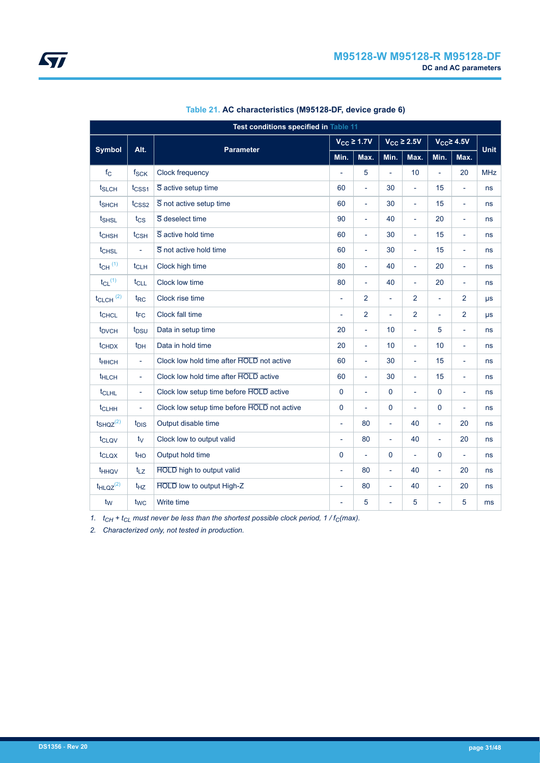<span id="page-30-0"></span>

| Test conditions specified in Table 11 |                    |                                                  |                          |                   |                |                           |                          |                          |             |  |  |
|---------------------------------------|--------------------|--------------------------------------------------|--------------------------|-------------------|----------------|---------------------------|--------------------------|--------------------------|-------------|--|--|
| <b>Symbol</b>                         | Alt.               | <b>Parameter</b>                                 |                          | $V_{CC} \ge 1.7V$ |                | $V_{\text{CC}} \geq 2.5V$ |                          | $V_{CC} \ge 4.5V$        | <b>Unit</b> |  |  |
|                                       |                    |                                                  |                          | Max.              | Min.           | Max.                      | Min.                     | Max.                     |             |  |  |
| $f_{\rm C}$                           | f <sub>SCK</sub>   | Clock frequency                                  | $\bar{a}$                | 5                 | L,             | 10                        | $\blacksquare$           | 20                       | <b>MHz</b>  |  |  |
| $t_{SLCH}$                            | t <sub>CSS1</sub>  | $\overline{S}$ active setup time                 | 60                       | ÷,                | 30             | ä,                        | 15                       | ÷,                       | ns          |  |  |
| $t_{\text{SHCH}}$                     | t <sub>CSS2</sub>  | $\overline{S}$ not active setup time             | 60                       | ÷,                | 30             | $\blacksquare$            | 15                       | ÷,                       | ns          |  |  |
| t <sub>SHSL</sub>                     | $t_{\text{CS}}$    | $\overline{S}$ deselect time                     | 90                       | ÷,                | 40             | $\blacksquare$            | 20                       | $\overline{\phantom{a}}$ | ns          |  |  |
| t <sub>CHSH</sub>                     | $t_{\text{CSH}}$   | $\overline{S}$ active hold time                  | 60                       | ÷,                | 30             | $\blacksquare$            | 15                       | ÷,                       | ns          |  |  |
| $t_{\text{CHSL}}$                     | ÷,                 | $\overline{S}$ not active hold time              | 60                       | ÷,                | 30             | ÷,                        | 15                       | $\overline{\phantom{a}}$ | ns          |  |  |
| $t_{CH}$ (1)                          | $t$ <sub>CLH</sub> | Clock high time                                  | 80                       | ÷,                | 40             | $\blacksquare$            | 20                       | $\overline{\phantom{a}}$ | ns          |  |  |
| $t_{CL}$ <sup>(1)</sup>               | $t_{CLL}$          | Clock low time                                   | 80                       | L,                | 40             | ä,                        | 20                       | $\overline{\phantom{a}}$ | ns          |  |  |
| $t_{CLCH}$ $^{(2)}$                   | $t_{RC}$           | Clock rise time                                  | ä,                       | $\overline{2}$    | L,             | $\overline{2}$            | ä,                       | $\overline{2}$           | $\mu s$     |  |  |
| t <sub>CHCL</sub>                     | $t_{FC}$           | Clock fall time                                  | $\overline{\phantom{a}}$ | $\overline{2}$    | L,             | $\overline{2}$            | L,                       | $\overline{2}$           | $\mu s$     |  |  |
| t <sub>DVCH</sub>                     | t <sub>DSU</sub>   | Data in setup time                               | 20                       | L,                | 10             | ä,                        | 5                        | ä,                       | ns          |  |  |
| $t$ CHDX                              | $t_{DH}$           | Data in hold time                                | 20                       | ÷,                | 10             | ÷,                        | 10                       | ÷,                       | ns          |  |  |
| $t_{HHCH}$                            | L,                 | Clock low hold time after <b>HOLD</b> not active | 60                       | L,                | 30             | ä,                        | 15                       | L,                       | ns          |  |  |
| <b>THLCH</b>                          | ÷,                 | Clock low hold time after <b>HOLD</b> active     | 60                       | ÷,                | 30             | ä,                        | 15                       | ÷,                       | ns          |  |  |
| t <sub>CLHL</sub>                     | ÷,                 | Clock low setup time before HOLD active          | $\mathbf 0$              | ÷,                | $\mathbf 0$    | L,                        | $\mathbf 0$              | ÷,                       | ns          |  |  |
| $t$ <sub>CLHH</sub>                   | L,                 | Clock low setup time before HOLD not active      | $\Omega$                 | L,                | $\overline{0}$ | L,                        | $\Omega$                 | L,                       | ns          |  |  |
| $t_{SHQZ}^{(2)}$                      | $t_{DIS}$          | Output disable time                              | ÷.                       | 80                | L,             | 40                        | L,                       | 20                       | ns          |  |  |
| t <sub>CLOV</sub>                     | $t_V$              | Clock low to output valid                        | ٠                        | 80                | L,             | 40                        | $\overline{\phantom{a}}$ | 20                       | ns          |  |  |
| $t_{\text{CLOX}}$                     | $t_{HO}$           | Output hold time                                 | $\Omega$                 | L,                | $\overline{0}$ | L,                        | $\Omega$                 | ä,                       | ns          |  |  |
| t <sub>HHQV</sub>                     | $t_{LZ}$           | <b>HOLD</b> high to output valid                 | $\bar{\phantom{a}}$      | 80                | L,             | 40                        | ÷,                       | 20                       | ns          |  |  |
| $t_{H L Q Z}^{(2)}$                   | $t_{HZ}$           | HOLD low to output High-Z                        | $\overline{a}$           | 80                | L,             | 40                        | $\overline{a}$           | 20                       | ns          |  |  |
| t <sub>w</sub>                        | twc                | Write time                                       | $\overline{\phantom{a}}$ | 5                 | ÷,             | 5                         | $\overline{\phantom{a}}$ | 5                        | ms          |  |  |

| Table 21. AC characteristics (M95128-DF, device grade 6) |  |  |  |  |
|----------------------------------------------------------|--|--|--|--|
|----------------------------------------------------------|--|--|--|--|

*1. tCH + tCL must never be less than the shortest possible clock period, 1 / fC(max).*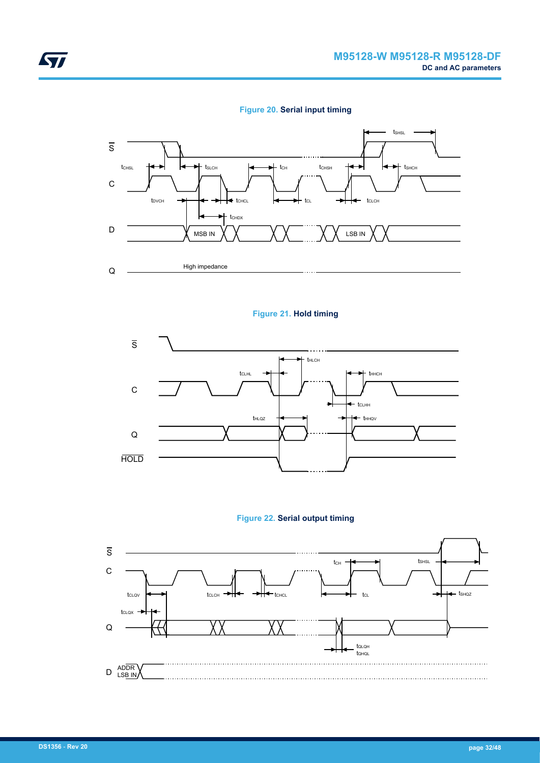### **Figure 20. Serial input timing**

<span id="page-31-0"></span>

**Figure 21. Hold timing**





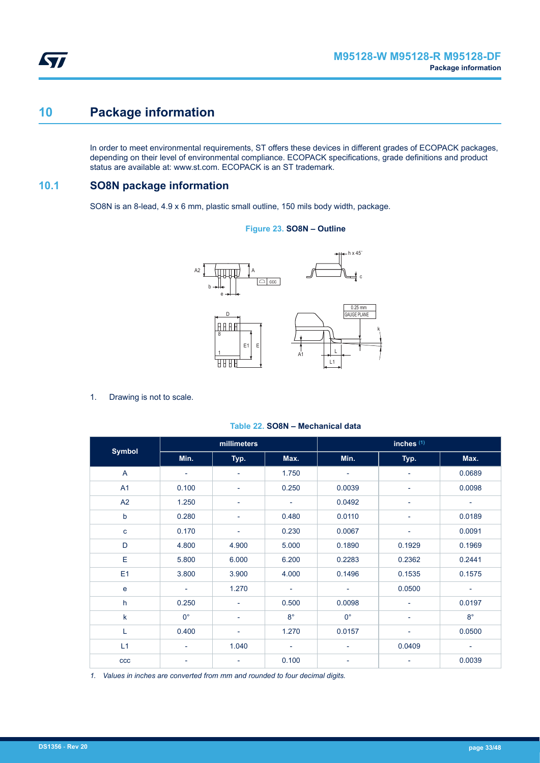<span id="page-32-0"></span>W

## **10 Package information**

In order to meet environmental requirements, ST offers these devices in different grades of ECOPACK packages, depending on their level of environmental compliance. ECOPACK specifications, grade definitions and product status are available at: www.st.com. ECOPACK is an ST trademark.

### **10.1 SO8N package information**

SO8N is an 8-lead, 4.9 x 6 mm, plastic small outline, 150 mils body width, package.

#### **Figure 23. SO8N – Outline**



1. Drawing is not to scale.

| <b>Symbol</b>  | millimeters              |                          |                          | inches <sup>(1)</sup>    |                          |                          |  |
|----------------|--------------------------|--------------------------|--------------------------|--------------------------|--------------------------|--------------------------|--|
|                | Min.                     | Typ.                     | Max.                     | Min.                     | Typ.                     | Max.                     |  |
| A              | $\overline{\phantom{a}}$ | ÷,                       | 1.750                    | $\overline{\phantom{a}}$ |                          | 0.0689                   |  |
| A <sub>1</sub> | 0.100                    | $\overline{\phantom{a}}$ | 0.250                    | 0.0039                   | $\overline{\phantom{a}}$ | 0.0098                   |  |
| A2             | 1.250                    | ٠                        | ۰                        | 0.0492                   |                          |                          |  |
| $\mathsf b$    | 0.280                    | ۰                        | 0.480                    | 0.0110                   | ۰                        | 0.0189                   |  |
| $\mathbf{C}$   | 0.170                    | ÷                        | 0.230                    | 0.0067                   | ٠                        | 0.0091                   |  |
| D              | 4.800                    | 4.900                    | 5.000                    | 0.1890                   | 0.1929                   | 0.1969                   |  |
| Е              | 5.800                    | 6.000                    | 6.200                    | 0.2283                   | 0.2362                   | 0.2441                   |  |
| E1             | 3.800                    | 3.900                    | 4.000                    | 0.1496<br>0.1535         |                          | 0.1575                   |  |
| $\mathbf e$    | $\overline{\phantom{a}}$ | 1.270                    | $\overline{\phantom{a}}$ | $\overline{\phantom{a}}$ | 0.0500                   | $\overline{\phantom{a}}$ |  |
| h              | 0.250                    | ۰                        | 0.500                    | 0.0098                   |                          | 0.0197                   |  |
| $\mathsf k$    | $0^{\circ}$              | ۰                        | $8^\circ$                | $0^{\circ}$              |                          | $8^{\circ}$              |  |
| L              | 0.400                    | ۰                        | 1.270                    | 0.0157                   | $\overline{\phantom{a}}$ | 0.0500                   |  |
| L1             |                          | 1.040                    | $\overline{\phantom{a}}$ | $\overline{\phantom{a}}$ | 0.0409                   | $\overline{\phantom{a}}$ |  |
| ccc            |                          | ۰                        | 0.100                    | -                        |                          | 0.0039                   |  |

#### **Table 22. SO8N – Mechanical data**

*1. Values in inches are converted from mm and rounded to four decimal digits.*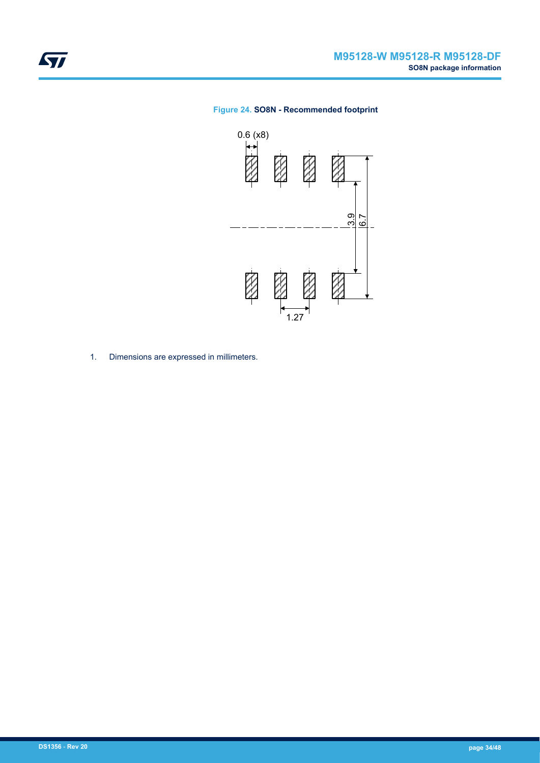### <span id="page-33-0"></span>**Figure 24. SO8N - Recommended footprint**



1. Dimensions are expressed in millimeters.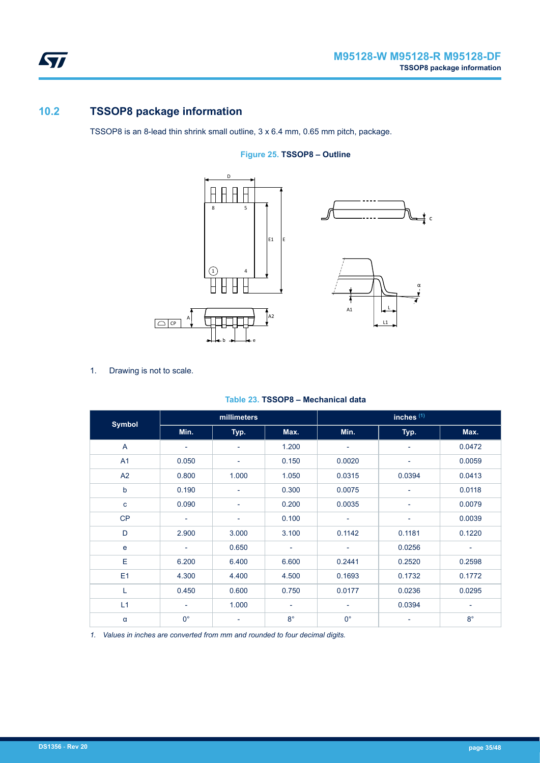

## <span id="page-34-0"></span>**10.2 TSSOP8 package information**

TSSOP8 is an 8-lead thin shrink small outline, 3 x 6.4 mm, 0.65 mm pitch, package.

### **Figure 25. TSSOP8 – Outline**



1. Drawing is not to scale.

#### **Table 23. TSSOP8 – Mechanical data**

| <b>Symbol</b>  | millimeters              |                          |                          | inches <sup>(1)</sup>              |                          |                          |  |  |
|----------------|--------------------------|--------------------------|--------------------------|------------------------------------|--------------------------|--------------------------|--|--|
|                | Min.                     | Typ.                     | Max.                     | Min.                               | Typ.                     | Max.                     |  |  |
| A              | $\overline{\phantom{a}}$ | ۰                        | 1.200                    | $\overline{\phantom{a}}$           | ٠                        | 0.0472                   |  |  |
| A <sub>1</sub> | 0.050                    | -                        | 0.150                    | 0.0020                             | ۰                        | 0.0059                   |  |  |
| A2             | 0.800                    | 1.000                    | 1.050                    | 0.0315                             | 0.0394                   | 0.0413                   |  |  |
| $\mathsf b$    | 0.190                    | $\overline{\phantom{a}}$ | 0.300                    | 0.0075                             | $\overline{\phantom{a}}$ | 0.0118                   |  |  |
| $\mathbf{C}$   | 0.090                    | ۰                        | 0.200                    | 0.0035                             |                          | 0.0079                   |  |  |
| CP             | $\overline{\phantom{a}}$ | ÷,                       | 0.100                    | $\overline{\phantom{a}}$           | ۰                        | 0.0039                   |  |  |
| D              | 2.900                    | 3.000                    | 3.100                    | 0.1142                             | 0.1181                   | 0.1220                   |  |  |
| $\mathbf e$    | $\overline{\phantom{a}}$ | 0.650                    | $\overline{\phantom{a}}$ | 0.0256<br>$\overline{\phantom{a}}$ |                          | $\overline{\phantom{a}}$ |  |  |
| E              | 6.200                    | 6.400                    | 6.600                    | 0.2441                             | 0.2520                   | 0.2598                   |  |  |
| E1             | 4.300                    | 4.400                    | 4.500                    | 0.1693                             | 0.1732                   | 0.1772                   |  |  |
| L              | 0.450                    | 0.600                    | 0.750                    | 0.0177<br>0.0236                   |                          | 0.0295                   |  |  |
| L1             |                          | 1.000                    | $\overline{\phantom{a}}$ | $\overline{\phantom{a}}$           | 0.0394                   | -                        |  |  |
| $\alpha$       | $0^{\circ}$              |                          | $8^\circ$                | $0^{\circ}$                        |                          | $8^{\circ}$              |  |  |

*1. Values in inches are converted from mm and rounded to four decimal digits.*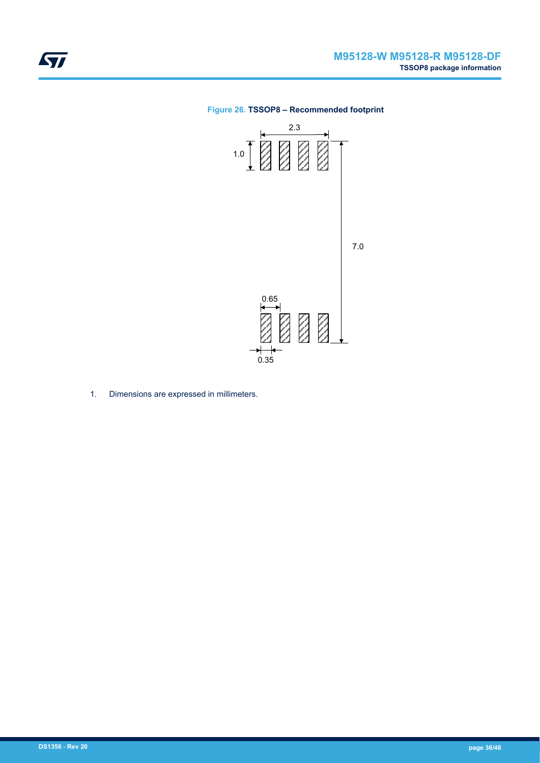### **Figure 26. TSSOP8 – Recommended footprint**



1. Dimensions are expressed in millimeters.

<span id="page-35-0"></span>ST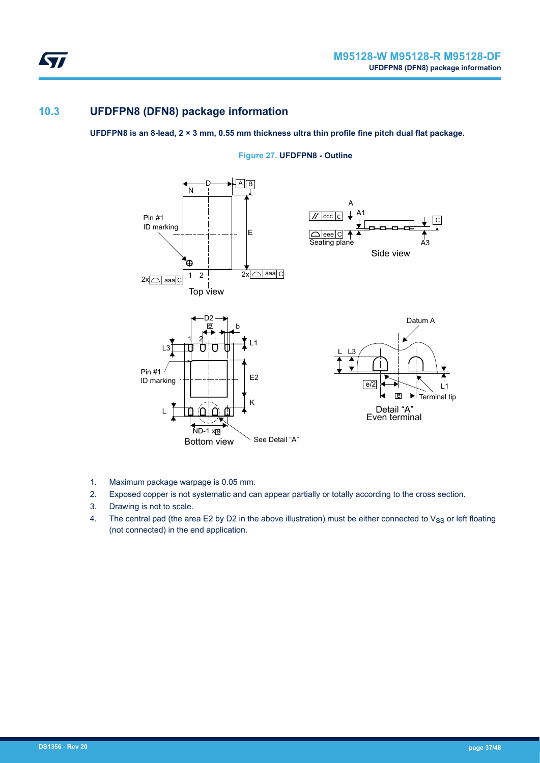<span id="page-36-0"></span>

### **10.3 UFDFPN8 (DFN8) package information**

**UFDFPN8 is an 8-lead, 2 × 3 mm, 0.55 mm thickness ultra thin profile fine pitch dual flat package.**



**Figure 27. UFDFPN8 - Outline**

- 1. Maximum package warpage is 0.05 mm.
- 2. Exposed copper is not systematic and can appear partially or totally according to the cross section.
- 3. Drawing is not to scale.
- 4. The central pad (the area E2 by D2 in the above illustration) must be either connected to  $V_{SS}$  or left floating (not connected) in the end application.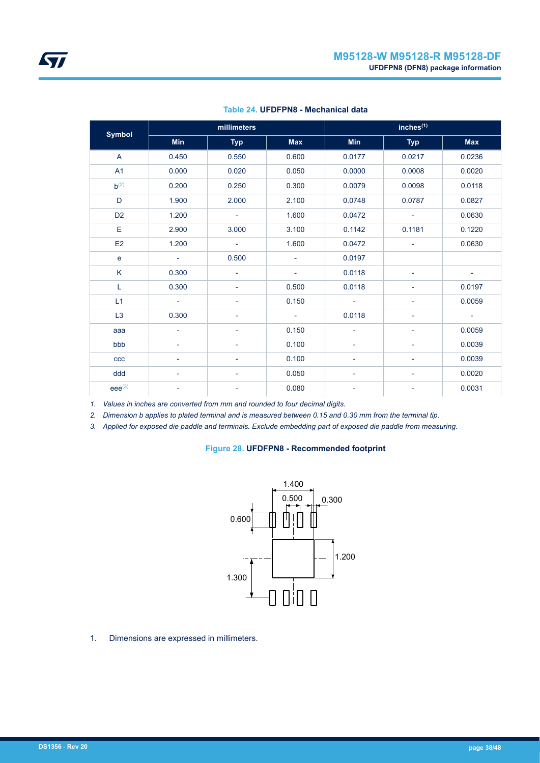<span id="page-37-0"></span>

| <b>Symbol</b>  |                          | millimeters              |                          |                          | inches <sup>(1)</sup>    |                          |  |
|----------------|--------------------------|--------------------------|--------------------------|--------------------------|--------------------------|--------------------------|--|
|                | <b>Min</b>               | <b>Typ</b>               | <b>Max</b>               | <b>Min</b>               | <b>Typ</b>               | <b>Max</b>               |  |
| A              | 0.450                    | 0.550                    | 0.600                    | 0.0177                   | 0.0217                   | 0.0236                   |  |
| A1             | 0.000                    | 0.020                    | 0.050                    | 0.0000                   | 0.0008                   | 0.0020                   |  |
| $b^{(2)}$      | 0.200                    | 0.250                    | 0.300                    | 0.0079                   | 0.0098                   | 0.0118                   |  |
| D              | 1.900                    | 2.000                    | 2.100                    | 0.0748                   | 0.0787                   | 0.0827                   |  |
| D <sub>2</sub> | 1.200                    | $\blacksquare$           | 1.600                    | 0.0472                   | $\overline{\phantom{a}}$ | 0.0630                   |  |
| Е              | 2.900                    | 3.000                    | 3.100                    | 0.1142                   | 0.1181                   | 0.1220                   |  |
| E <sub>2</sub> | 1.200                    | $\overline{\phantom{a}}$ | 1.600                    | 0.0472                   | $\overline{\phantom{a}}$ | 0.0630                   |  |
| e              | $\sim$                   | 0.500                    | $\overline{\phantom{a}}$ | 0.0197                   |                          |                          |  |
| K.             | 0.300                    | $\overline{\phantom{a}}$ | $\overline{\phantom{a}}$ | 0.0118                   | $\overline{\phantom{a}}$ | $\overline{\phantom{a}}$ |  |
| Г              | 0.300                    | $\overline{\phantom{a}}$ | 0.500                    | 0.0118                   | $\overline{\phantom{a}}$ | 0.0197                   |  |
| L1             | $\sim$                   |                          | 0.150                    | $\overline{\phantom{a}}$ | $\overline{\phantom{a}}$ | 0.0059                   |  |
| L <sub>3</sub> | 0.300                    | ٠                        | $\overline{\phantom{a}}$ | 0.0118                   | $\overline{\phantom{a}}$ | $\overline{\phantom{a}}$ |  |
| aaa            | $\overline{\phantom{a}}$ |                          | 0.150                    |                          | $\overline{\phantom{a}}$ | 0.0059                   |  |
| bbb            | $\overline{\phantom{a}}$ | $\overline{\phantom{a}}$ | 0.100                    | ٠                        | $\overline{\phantom{a}}$ | 0.0039                   |  |
| ccc            | $\overline{\phantom{a}}$ | ٠                        | 0.100                    | ٠                        | $\overline{\phantom{a}}$ | 0.0039                   |  |
| ddd            | $\overline{\phantom{a}}$ | $\overline{\phantom{a}}$ | 0.050                    | $\overline{\phantom{0}}$ | $\overline{\phantom{a}}$ | 0.0020                   |  |
| $eee^{(3)}$    | $\overline{\phantom{0}}$ |                          | 0.080                    | $\overline{\phantom{a}}$ | $\overline{\phantom{a}}$ | 0.0031                   |  |

#### **Table 24. UFDFPN8 - Mechanical data**

*1. Values in inches are converted from mm and rounded to four decimal digits.*

*2. Dimension b applies to plated terminal and is measured between 0.15 and 0.30 mm from the terminal tip.*

*3. Applied for exposed die paddle and terminals. Exclude embedding part of exposed die paddle from measuring.*

#### **Figure 28. UFDFPN8 - Recommended footprint**



1. Dimensions are expressed in millimeters.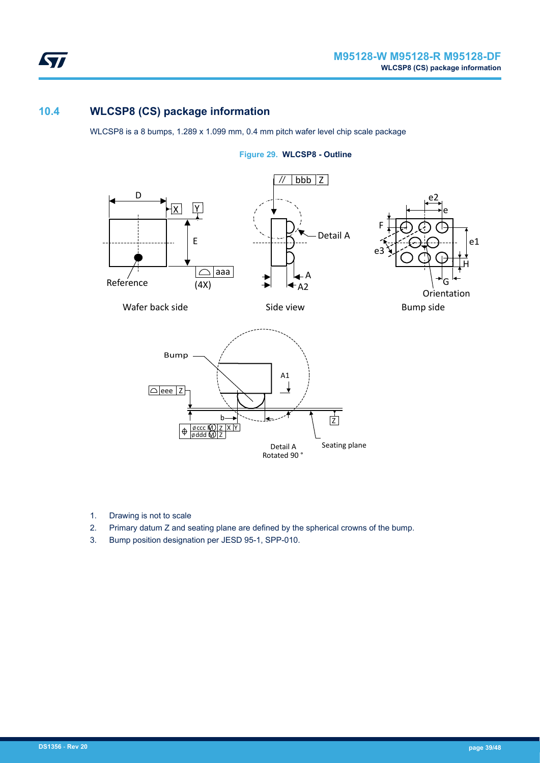### <span id="page-38-0"></span>**10.4 WLCSP8 (CS) package information**

WLCSP8 is a 8 bumps, 1.289 x 1.099 mm, 0.4 mm pitch wafer level chip scale package



#### **Figure 29. WLCSP8 - Outline**

- 1. Drawing is not to scale
- 2. Primary datum Z and seating plane are defined by the spherical crowns of the bump.
- 3. Bump position designation per JESD 95-1, SPP-010.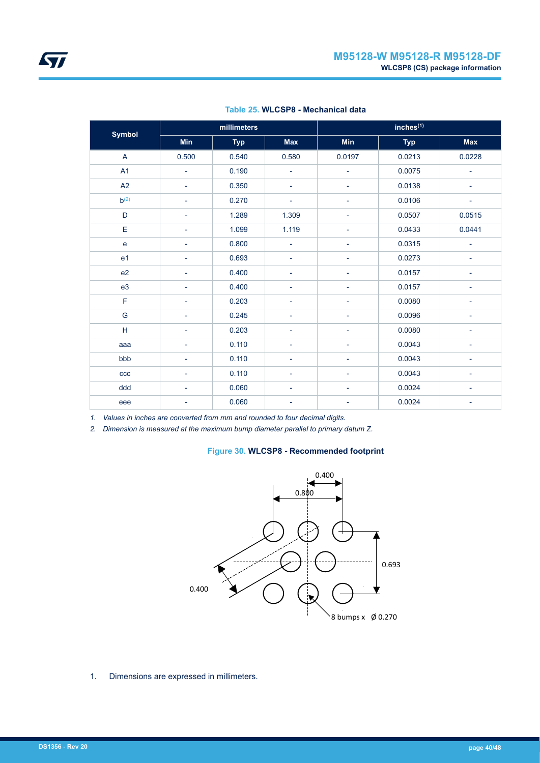<span id="page-39-0"></span>

| <b>Symbol</b>             |                          | millimeters                            | inches <sup>(1)</sup>                                                                              |                          |            |                          |
|---------------------------|--------------------------|----------------------------------------|----------------------------------------------------------------------------------------------------|--------------------------|------------|--------------------------|
|                           | Min                      | Typ                                    | <b>Max</b>                                                                                         | Min                      | <b>Typ</b> | <b>Max</b>               |
| $\boldsymbol{\mathsf{A}}$ | 0.500                    | 0.540                                  | 0.580                                                                                              | 0.0197                   | 0.0213     | 0.0228                   |
| A1                        | $\overline{\phantom{0}}$ | 0.190                                  | $\overline{\phantom{a}}$                                                                           | $\overline{\phantom{a}}$ | 0.0075     | $\overline{\phantom{a}}$ |
| A2                        | ٠                        | 0.350                                  | $\overline{\phantom{a}}$                                                                           | $\overline{\phantom{a}}$ | 0.0138     | ٠                        |
| $b^{(2)}$                 | ٠                        | 0.270                                  | $\overline{\phantom{a}}$                                                                           | ٠                        | 0.0106     | $\overline{\phantom{a}}$ |
| D                         | $\overline{\phantom{0}}$ | 1.289                                  | 1.309                                                                                              | $\overline{\phantom{a}}$ | 0.0507     | 0.0515                   |
| E                         | -                        | 1.099                                  | 1.119                                                                                              | ۰                        | 0.0433     | 0.0441                   |
| $\mathbf e$               | $\overline{\phantom{0}}$ | 0.800                                  | $\overline{\phantom{a}}$                                                                           | $\overline{\phantom{a}}$ | 0.0315     | $\overline{\phantom{a}}$ |
| e <sub>1</sub>            | -                        | 0.693                                  | $\overline{\phantom{a}}$                                                                           |                          | 0.0273     | ۰                        |
| e2                        | $\overline{\phantom{0}}$ | 0.400                                  | ÷,                                                                                                 |                          | 0.0157     |                          |
| e <sub>3</sub>            |                          | 0.400                                  | ÷,                                                                                                 |                          | 0.0157     |                          |
| F                         | $\overline{\phantom{0}}$ | 0.203                                  | $\overline{\phantom{a}}$                                                                           |                          | 0.0080     |                          |
| ${\mathsf G}$             | $\overline{\phantom{0}}$ | 0.245                                  | $\overline{\phantom{a}}$                                                                           | $\overline{\phantom{a}}$ | 0.0096     | $\overline{\phantom{0}}$ |
| H                         | $\overline{\phantom{0}}$ | 0.203                                  | $\overline{a}$<br>$\overline{\phantom{a}}$<br>$\overline{\phantom{a}}$<br>$\overline{\phantom{a}}$ |                          | 0.0080     | $\overline{a}$           |
| aaa                       | ÷.                       | 0.110                                  |                                                                                                    |                          | 0.0043     | $\overline{\phantom{a}}$ |
| bbb                       | ÷,                       | 0.110<br>$\overline{\phantom{a}}$<br>٠ |                                                                                                    |                          | 0.0043     | $\overline{\phantom{a}}$ |
| ccc                       | ÷.                       | 0.110                                  | $\overline{\phantom{a}}$                                                                           |                          | 0.0043     | $\overline{\phantom{a}}$ |
| ddd                       | -                        | 0.060                                  | $\overline{\phantom{a}}$                                                                           |                          | 0.0024     |                          |
| eee                       |                          | 0.060                                  | $\overline{\phantom{a}}$                                                                           |                          | 0.0024     |                          |

#### **Table 25. WLCSP8 - Mechanical data**

*1. Values in inches are converted from mm and rounded to four decimal digits.*

*2. Dimension is measured at the maximum bump diameter parallel to primary datum Z.*

### **Figure 30. WLCSP8 - Recommended footprint**



1. Dimensions are expressed in millimeters.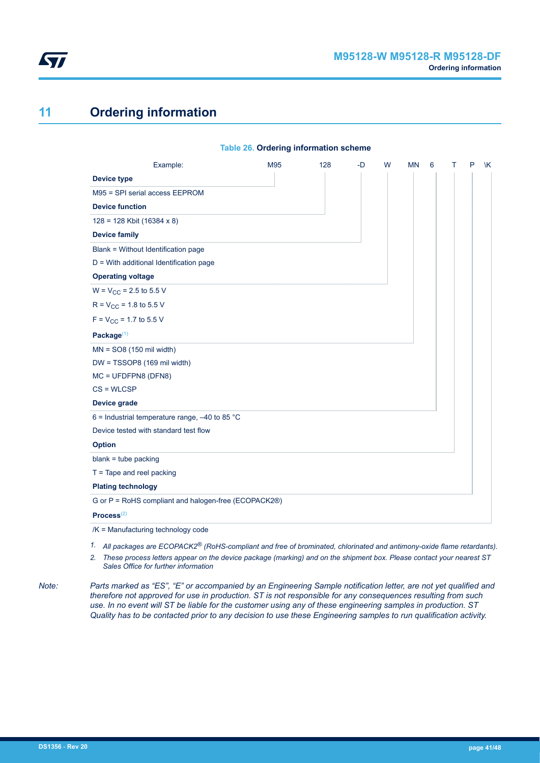<span id="page-40-0"></span>

## **11 Ordering information**

#### **Table 26. Ordering information scheme**

| Example:                                             | M95 | 128 | -D | W | <b>MN</b> | 6 | т | P | <b>IK</b> |
|------------------------------------------------------|-----|-----|----|---|-----------|---|---|---|-----------|
| <b>Device type</b>                                   |     |     |    |   |           |   |   |   |           |
| M95 = SPI serial access EEPROM                       |     |     |    |   |           |   |   |   |           |
| <b>Device function</b>                               |     |     |    |   |           |   |   |   |           |
| $128 = 128$ Kbit (16384 x 8)                         |     |     |    |   |           |   |   |   |           |
| <b>Device family</b>                                 |     |     |    |   |           |   |   |   |           |
| Blank = Without Identification page                  |     |     |    |   |           |   |   |   |           |
| D = With additional Identification page              |     |     |    |   |           |   |   |   |           |
| <b>Operating voltage</b>                             |     |     |    |   |           |   |   |   |           |
| $W = V_{CC} = 2.5$ to 5.5 V                          |     |     |    |   |           |   |   |   |           |
| $R = V_{CC} = 1.8$ to 5.5 V                          |     |     |    |   |           |   |   |   |           |
| $F = V_{CC} = 1.7$ to 5.5 V                          |     |     |    |   |           |   |   |   |           |
| Package $(1)$                                        |     |     |    |   |           |   |   |   |           |
| $MN = SO8 (150 \text{ mil width})$                   |     |     |    |   |           |   |   |   |           |
| DW = TSSOP8 (169 mil width)                          |     |     |    |   |           |   |   |   |           |
| $MC = UFDFPN8 (DFN8)$                                |     |     |    |   |           |   |   |   |           |
| $CS = WLCSP$                                         |     |     |    |   |           |   |   |   |           |
| Device grade                                         |     |     |    |   |           |   |   |   |           |
| 6 = Industrial temperature range, $-40$ to 85 °C     |     |     |    |   |           |   |   |   |           |
| Device tested with standard test flow                |     |     |    |   |           |   |   |   |           |
| <b>Option</b>                                        |     |     |    |   |           |   |   |   |           |
| $blank = tube$ packing                               |     |     |    |   |           |   |   |   |           |
| $T =$ Tape and reel packing                          |     |     |    |   |           |   |   |   |           |
| <b>Plating technology</b>                            |     |     |    |   |           |   |   |   |           |
| G or P = RoHS compliant and halogen-free (ECOPACK2®) |     |     |    |   |           |   |   |   |           |
| Process <sup>(2)</sup>                               |     |     |    |   |           |   |   |   |           |
|                                                      |     |     |    |   |           |   |   |   |           |

/K = Manufacturing technology code

*1. All packages are ECOPACK2® (RoHS-compliant and free of brominated, chlorinated and antimony-oxide flame retardants).*

*2. These process letters appear on the device package (marking) and on the shipment box. Please contact your nearest ST Sales Office for further information*

*Note: Parts marked as "ES", "E" or accompanied by an Engineering Sample notification letter, are not yet qualified and therefore not approved for use in production. ST is not responsible for any consequences resulting from such use. In no event will ST be liable for the customer using any of these engineering samples in production. ST Quality has to be contacted prior to any decision to use these Engineering samples to run qualification activity.*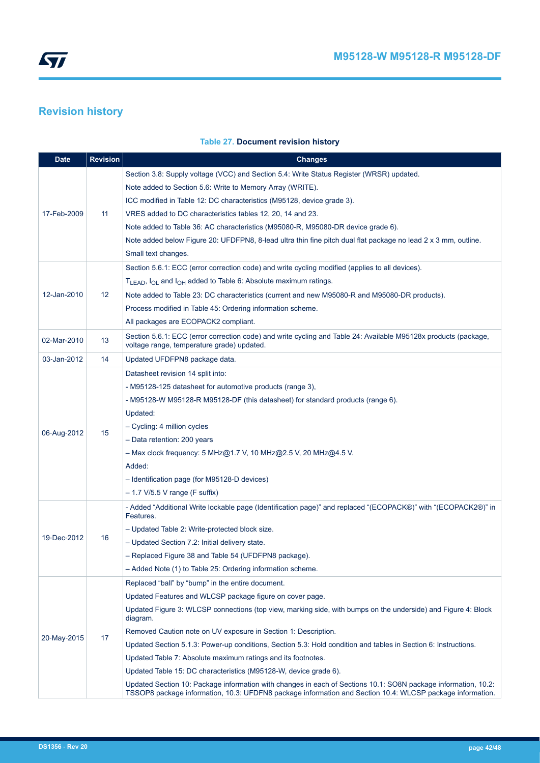## <span id="page-41-0"></span>**Revision history**

| <b>Date</b> | <b>Revision</b> | <b>Changes</b>                                                                                                                                                                                                              |
|-------------|-----------------|-----------------------------------------------------------------------------------------------------------------------------------------------------------------------------------------------------------------------------|
|             |                 | Section 3.8: Supply voltage (VCC) and Section 5.4: Write Status Register (WRSR) updated.                                                                                                                                    |
|             |                 | Note added to Section 5.6: Write to Memory Array (WRITE).                                                                                                                                                                   |
|             |                 | ICC modified in Table 12: DC characteristics (M95128, device grade 3).                                                                                                                                                      |
| 17-Feb-2009 | 11              | VRES added to DC characteristics tables 12, 20, 14 and 23.                                                                                                                                                                  |
|             |                 | Note added to Table 36: AC characteristics (M95080-R, M95080-DR device grade 6).                                                                                                                                            |
|             |                 | Note added below Figure 20: UFDFPN8, 8-lead ultra thin fine pitch dual flat package no lead 2 x 3 mm, outline.                                                                                                              |
|             |                 | Small text changes.                                                                                                                                                                                                         |
|             |                 | Section 5.6.1: ECC (error correction code) and write cycling modified (applies to all devices).                                                                                                                             |
|             |                 | $T_{\text{I FAD}}$ , $I_{\text{OI}}$ and $I_{\text{OH}}$ added to Table 6: Absolute maximum ratings.                                                                                                                        |
| 12-Jan-2010 | 12              | Note added to Table 23: DC characteristics (current and new M95080-R and M95080-DR products).                                                                                                                               |
|             |                 | Process modified in Table 45: Ordering information scheme.                                                                                                                                                                  |
|             |                 | All packages are ECOPACK2 compliant.                                                                                                                                                                                        |
| 02-Mar-2010 | 13              | Section 5.6.1: ECC (error correction code) and write cycling and Table 24: Available M95128x products (package,<br>voltage range, temperature grade) updated.                                                               |
| 03-Jan-2012 | 14              | Updated UFDFPN8 package data.                                                                                                                                                                                               |
|             |                 | Datasheet revision 14 split into:                                                                                                                                                                                           |
|             |                 | - M95128-125 datasheet for automotive products (range 3),                                                                                                                                                                   |
|             |                 | - M95128-W M95128-R M95128-DF (this datasheet) for standard products (range 6).                                                                                                                                             |
|             | 15              | Updated:                                                                                                                                                                                                                    |
| 06-Aug-2012 |                 | - Cycling: 4 million cycles                                                                                                                                                                                                 |
|             |                 | - Data retention: 200 years                                                                                                                                                                                                 |
|             |                 | $-$ Max clock frequency: 5 MHz@1.7 V, 10 MHz@2.5 V, 20 MHz@4.5 V.                                                                                                                                                           |
|             |                 | Added:                                                                                                                                                                                                                      |
|             |                 | - Identification page (for M95128-D devices)                                                                                                                                                                                |
|             |                 | – 1.7 V/5.5 V range (F suffix)                                                                                                                                                                                              |
|             |                 | - Added "Additional Write lockable page (Identification page)" and replaced "(ECOPACK®)" with "(ECOPACK2®)" in<br>Features.                                                                                                 |
|             |                 | - Updated Table 2: Write-protected block size.                                                                                                                                                                              |
| 19-Dec-2012 | 16              | - Updated Section 7.2: Initial delivery state.                                                                                                                                                                              |
|             |                 | - Replaced Figure 38 and Table 54 (UFDFPN8 package).                                                                                                                                                                        |
|             |                 | - Added Note (1) to Table 25: Ordering information scheme.                                                                                                                                                                  |
|             |                 | Replaced "ball" by "bump" in the entire document.                                                                                                                                                                           |
|             |                 | Updated Features and WLCSP package figure on cover page.                                                                                                                                                                    |
|             |                 | Updated Figure 3: WLCSP connections (top view, marking side, with bumps on the underside) and Figure 4: Block<br>diagram.                                                                                                   |
| 20-May-2015 | 17              | Removed Caution note on UV exposure in Section 1: Description.                                                                                                                                                              |
|             |                 | Updated Section 5.1.3: Power-up conditions, Section 5.3: Hold condition and tables in Section 6: Instructions.                                                                                                              |
|             |                 | Updated Table 7: Absolute maximum ratings and its footnotes.                                                                                                                                                                |
|             |                 | Updated Table 15: DC characteristics (M95128-W, device grade 6).                                                                                                                                                            |
|             |                 | Updated Section 10: Package information with changes in each of Sections 10.1: SO8N package information, 10.2:<br>TSSOP8 package information, 10.3: UFDFN8 package information and Section 10.4: WLCSP package information. |

### **Table 27. Document revision history**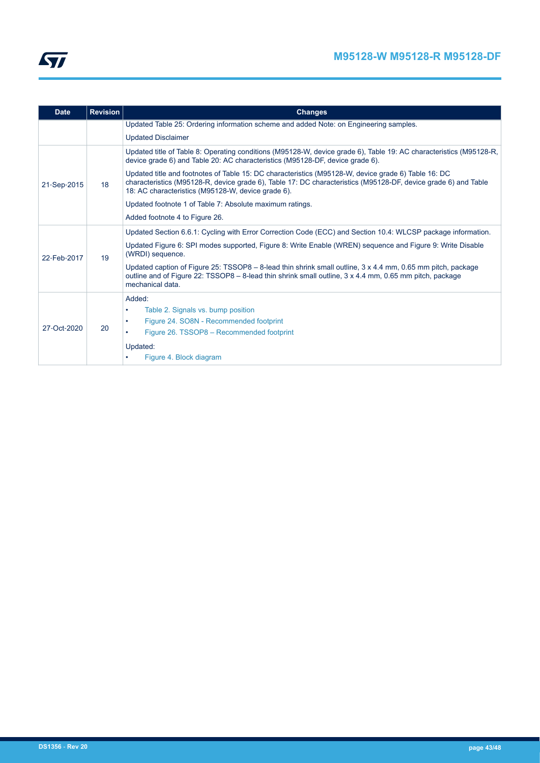| <b>Date</b> | <b>Revision</b> | <b>Changes</b>                                                                                                                                                                                                                                                              |
|-------------|-----------------|-----------------------------------------------------------------------------------------------------------------------------------------------------------------------------------------------------------------------------------------------------------------------------|
|             |                 | Updated Table 25: Ordering information scheme and added Note: on Engineering samples.                                                                                                                                                                                       |
|             |                 | <b>Updated Disclaimer</b>                                                                                                                                                                                                                                                   |
| 21-Sep-2015 |                 | Updated title of Table 8: Operating conditions (M95128-W, device grade 6), Table 19: AC characteristics (M95128-R,<br>device grade 6) and Table 20: AC characteristics (M95128-DF, device grade 6).                                                                         |
|             | 18              | Updated title and footnotes of Table 15: DC characteristics (M95128-W, device grade 6) Table 16: DC<br>characteristics (M95128-R, device grade 6), Table 17: DC characteristics (M95128-DF, device grade 6) and Table<br>18: AC characteristics (M95128-W, device grade 6). |
|             |                 | Updated footnote 1 of Table 7: Absolute maximum ratings.                                                                                                                                                                                                                    |
|             |                 | Added footnote 4 to Figure 26.                                                                                                                                                                                                                                              |
|             |                 | Updated Section 6.6.1: Cycling with Error Correction Code (ECC) and Section 10.4: WLCSP package information.                                                                                                                                                                |
| 22-Feb-2017 | 19              | Updated Figure 6: SPI modes supported, Figure 8: Write Enable (WREN) sequence and Figure 9: Write Disable<br>(WRDI) sequence.                                                                                                                                               |
|             |                 | Updated caption of Figure 25: TSSOP8 – 8-lead thin shrink small outline, $3 \times 4.4$ mm, 0.65 mm pitch, package<br>outline and of Figure 22: TSSOP8 – 8-lead thin shrink small outline, 3 x 4.4 mm, 0.65 mm pitch, package<br>mechanical data.                           |
|             |                 | Added:                                                                                                                                                                                                                                                                      |
|             |                 | Table 2. Signals vs. bump position<br>٠                                                                                                                                                                                                                                     |
| 27-Oct-2020 | 20              | Figure 24. SO8N - Recommended footprint<br>$\bullet$                                                                                                                                                                                                                        |
|             |                 | Figure 26. TSSOP8 - Recommended footprint<br>$\bullet$                                                                                                                                                                                                                      |
|             |                 | Updated:                                                                                                                                                                                                                                                                    |
|             |                 | Figure 4. Block diagram                                                                                                                                                                                                                                                     |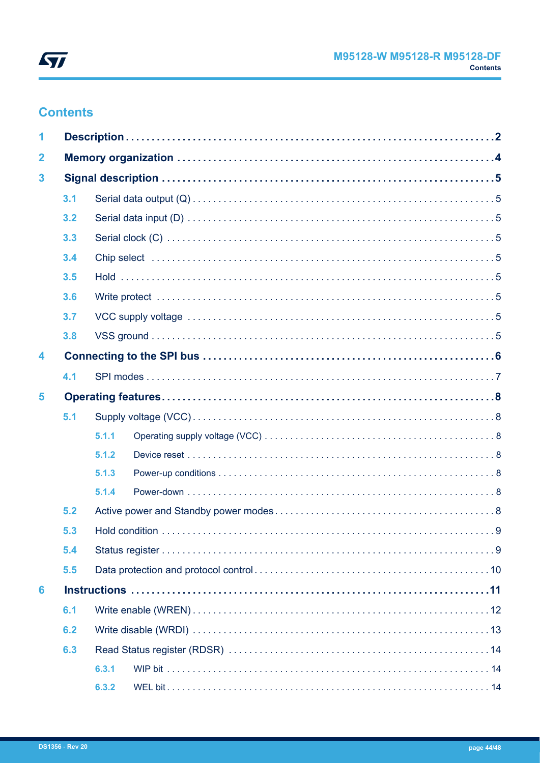

## **Contents**

| 1              |     |       |  |  |  |  |  |  |  |
|----------------|-----|-------|--|--|--|--|--|--|--|
| $\overline{2}$ |     |       |  |  |  |  |  |  |  |
| 3              |     |       |  |  |  |  |  |  |  |
|                | 3.1 |       |  |  |  |  |  |  |  |
|                | 3.2 |       |  |  |  |  |  |  |  |
|                | 3.3 |       |  |  |  |  |  |  |  |
|                | 3.4 |       |  |  |  |  |  |  |  |
|                | 3.5 |       |  |  |  |  |  |  |  |
|                | 3.6 |       |  |  |  |  |  |  |  |
|                | 3.7 |       |  |  |  |  |  |  |  |
|                | 3.8 |       |  |  |  |  |  |  |  |
| 4              |     |       |  |  |  |  |  |  |  |
|                | 4.1 |       |  |  |  |  |  |  |  |
| 5              |     |       |  |  |  |  |  |  |  |
|                | 5.1 |       |  |  |  |  |  |  |  |
|                |     | 5.1.1 |  |  |  |  |  |  |  |
|                |     | 5.1.2 |  |  |  |  |  |  |  |
|                |     | 5.1.3 |  |  |  |  |  |  |  |
|                |     | 5.1.4 |  |  |  |  |  |  |  |
|                | 5.2 |       |  |  |  |  |  |  |  |
|                | 5.3 |       |  |  |  |  |  |  |  |
|                | 5.4 |       |  |  |  |  |  |  |  |
|                | 5.5 |       |  |  |  |  |  |  |  |
| 6              |     |       |  |  |  |  |  |  |  |
|                | 6.1 |       |  |  |  |  |  |  |  |
|                | 6.2 |       |  |  |  |  |  |  |  |
|                | 6.3 |       |  |  |  |  |  |  |  |
|                |     | 6.3.1 |  |  |  |  |  |  |  |
|                |     | 6.3.2 |  |  |  |  |  |  |  |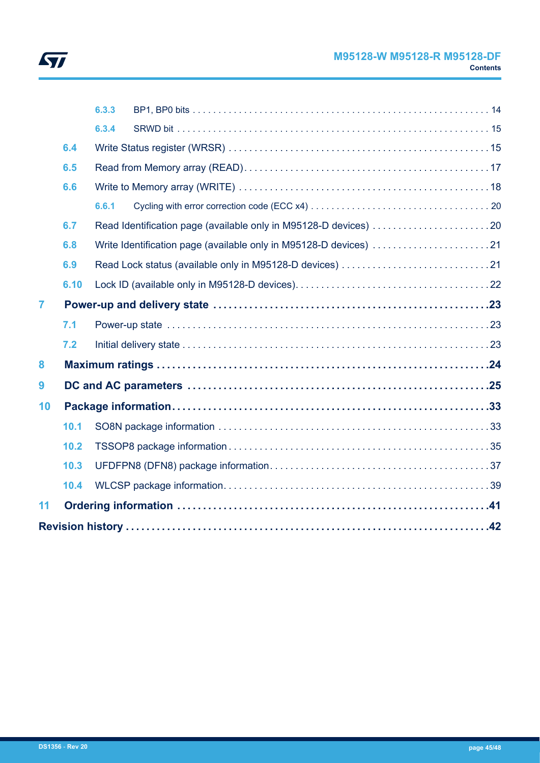

|    |      | 6.3.3 |  |
|----|------|-------|--|
|    |      | 6.3.4 |  |
|    | 6.4  |       |  |
|    | 6.5  |       |  |
|    | 6.6  |       |  |
|    |      | 6.6.1 |  |
|    | 6.7  |       |  |
|    | 6.8  |       |  |
|    | 6.9  |       |  |
|    | 6.10 |       |  |
| 7  |      |       |  |
|    | 7.1  |       |  |
|    | 7.2  |       |  |
| 8  |      |       |  |
| 9  |      |       |  |
| 10 |      |       |  |
|    | 10.1 |       |  |
|    | 10.2 |       |  |
|    | 10.3 |       |  |
|    | 10.4 |       |  |
| 11 |      |       |  |
|    |      |       |  |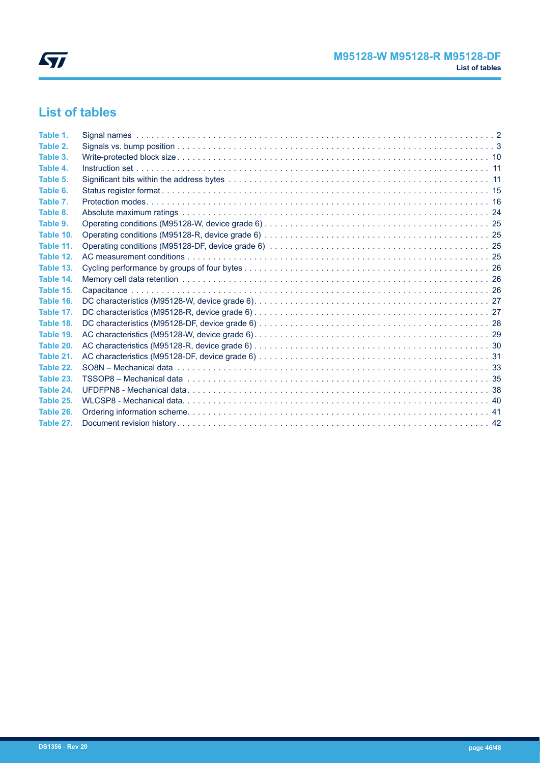## **List of tables**

| Table 1.  |  |
|-----------|--|
| Table 2.  |  |
| Table 3.  |  |
| Table 4.  |  |
| Table 5.  |  |
| Table 6.  |  |
| Table 7.  |  |
| Table 8.  |  |
| Table 9.  |  |
| Table 10. |  |
| Table 11. |  |
| Table 12. |  |
| Table 13. |  |
| Table 14. |  |
| Table 15. |  |
| Table 16. |  |
| Table 17. |  |
| Table 18. |  |
| Table 19. |  |
| Table 20. |  |
| Table 21. |  |
| Table 22. |  |
| Table 23. |  |
| Table 24. |  |
| Table 25. |  |
| Table 26. |  |
| Table 27. |  |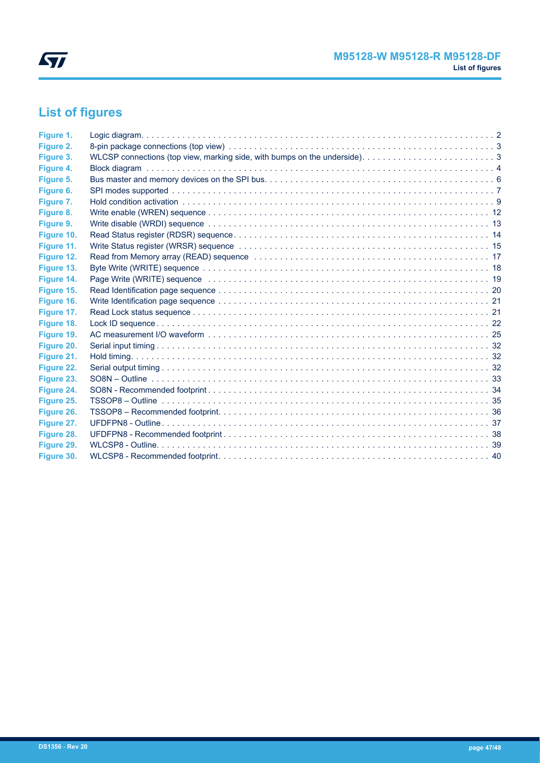

# **List of figures**

| Figure 1.  |                                                                                                                |  |
|------------|----------------------------------------------------------------------------------------------------------------|--|
| Figure 2.  |                                                                                                                |  |
| Figure 3.  |                                                                                                                |  |
| Figure 4.  |                                                                                                                |  |
| Figure 5.  |                                                                                                                |  |
| Figure 6.  |                                                                                                                |  |
| Figure 7.  |                                                                                                                |  |
| Figure 8.  |                                                                                                                |  |
| Figure 9.  |                                                                                                                |  |
| Figure 10. |                                                                                                                |  |
| Figure 11. | Write Status register (WRSR) sequence contained and contained according to the Status register (WRSR) sequence |  |
| Figure 12. |                                                                                                                |  |
| Figure 13. |                                                                                                                |  |
| Figure 14. | Page Write (WRITE) sequence information of the contract of the sequence in the contract of the contract of the |  |
| Figure 15. |                                                                                                                |  |
| Figure 16. |                                                                                                                |  |
| Figure 17. |                                                                                                                |  |
| Figure 18. |                                                                                                                |  |
| Figure 19. |                                                                                                                |  |
| Figure 20. |                                                                                                                |  |
| Figure 21. |                                                                                                                |  |
| Figure 22. |                                                                                                                |  |
| Figure 23. |                                                                                                                |  |
| Figure 24. |                                                                                                                |  |
| Figure 25. |                                                                                                                |  |
| Figure 26. |                                                                                                                |  |
| Figure 27. |                                                                                                                |  |
| Figure 28. |                                                                                                                |  |
| Figure 29. |                                                                                                                |  |
| Figure 30. |                                                                                                                |  |